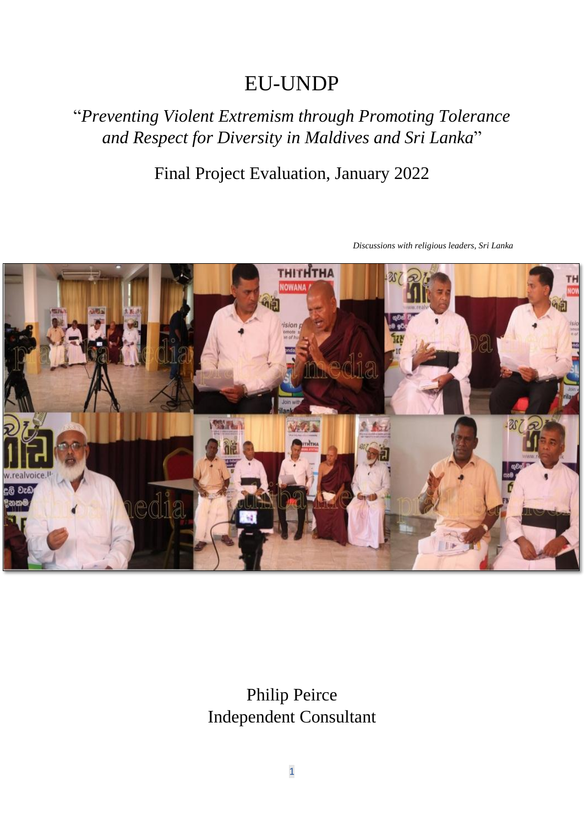# EU-UNDP

# "*Preventing Violent Extremism through Promoting Tolerance and Respect for Diversity in Maldives and Sri Lanka*"

# Final Project Evaluation, January 2022



*Discussions with religious leaders, Sri Lanka*

Philip Peirce Independent Consultant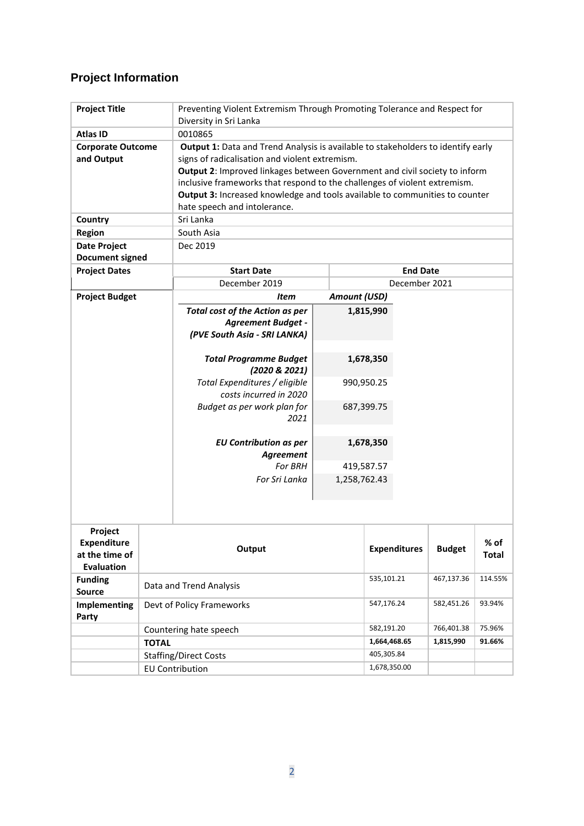## **Project Information**

| <b>Project Title</b>                                                 |                              | Preventing Violent Extremism Through Promoting Tolerance and Respect for                                                                                                                                                                                                                                                                                                                                     |                     |                                                                 |                     |               |                      |
|----------------------------------------------------------------------|------------------------------|--------------------------------------------------------------------------------------------------------------------------------------------------------------------------------------------------------------------------------------------------------------------------------------------------------------------------------------------------------------------------------------------------------------|---------------------|-----------------------------------------------------------------|---------------------|---------------|----------------------|
|                                                                      |                              | Diversity in Sri Lanka                                                                                                                                                                                                                                                                                                                                                                                       |                     |                                                                 |                     |               |                      |
| <b>Atlas ID</b>                                                      |                              | 0010865                                                                                                                                                                                                                                                                                                                                                                                                      |                     |                                                                 |                     |               |                      |
| <b>Corporate Outcome</b><br>and Output                               |                              | Output 1: Data and Trend Analysis is available to stakeholders to identify early<br>signs of radicalisation and violent extremism.<br>Output 2: Improved linkages between Government and civil society to inform<br>inclusive frameworks that respond to the challenges of violent extremism.<br>Output 3: Increased knowledge and tools available to communities to counter<br>hate speech and intolerance. |                     |                                                                 |                     |               |                      |
| Country                                                              |                              | Sri Lanka                                                                                                                                                                                                                                                                                                                                                                                                    |                     |                                                                 |                     |               |                      |
| <b>Region</b>                                                        |                              | South Asia                                                                                                                                                                                                                                                                                                                                                                                                   |                     |                                                                 |                     |               |                      |
| <b>Date Project</b><br><b>Document signed</b>                        |                              | Dec 2019                                                                                                                                                                                                                                                                                                                                                                                                     |                     |                                                                 |                     |               |                      |
| <b>Project Dates</b>                                                 |                              | <b>Start Date</b><br><b>End Date</b>                                                                                                                                                                                                                                                                                                                                                                         |                     |                                                                 |                     |               |                      |
|                                                                      |                              | December 2019                                                                                                                                                                                                                                                                                                                                                                                                | December 2021       |                                                                 |                     |               |                      |
| <b>Project Budget</b>                                                |                              | Item                                                                                                                                                                                                                                                                                                                                                                                                         | <b>Amount (USD)</b> |                                                                 |                     |               |                      |
|                                                                      |                              | <b>Total cost of the Action as per</b><br><b>Agreement Budget -</b><br>(PVE South Asia - SRI LANKA)<br><b>Total Programme Budget</b><br>(2020 & 2021)<br>Total Expenditures / eligible<br>costs incurred in 2020<br>Budget as per work plan for<br>2021<br><b>EU Contribution as per</b>                                                                                                                     |                     | 1,815,990<br>1,678,350<br>990,950.25<br>687,399.75<br>1,678,350 |                     |               |                      |
|                                                                      |                              | Agreement                                                                                                                                                                                                                                                                                                                                                                                                    |                     |                                                                 |                     |               |                      |
|                                                                      |                              | For BRH                                                                                                                                                                                                                                                                                                                                                                                                      |                     | 419,587.57                                                      |                     |               |                      |
|                                                                      |                              | For Sri Lanka                                                                                                                                                                                                                                                                                                                                                                                                | 1,258,762.43        |                                                                 |                     |               |                      |
|                                                                      |                              |                                                                                                                                                                                                                                                                                                                                                                                                              |                     |                                                                 |                     |               |                      |
| Project<br><b>Expenditure</b><br>at the time of<br><b>Evaluation</b> |                              | Output                                                                                                                                                                                                                                                                                                                                                                                                       |                     |                                                                 | <b>Expenditures</b> | <b>Budget</b> | % of<br><b>Total</b> |
| <b>Funding</b><br><b>Source</b>                                      |                              | Data and Trend Analysis                                                                                                                                                                                                                                                                                                                                                                                      |                     | 535,101.21                                                      |                     | 467,137.36    | 114.55%              |
| Implementing<br>Party                                                |                              | Devt of Policy Frameworks                                                                                                                                                                                                                                                                                                                                                                                    |                     | 547,176.24                                                      |                     | 582,451.26    | 93.94%               |
|                                                                      |                              | Countering hate speech                                                                                                                                                                                                                                                                                                                                                                                       |                     | 582,191.20                                                      |                     | 766,401.38    | 75.96%               |
|                                                                      | <b>TOTAL</b>                 |                                                                                                                                                                                                                                                                                                                                                                                                              |                     | 1,664,468.65                                                    |                     | 1,815,990     | 91.66%               |
|                                                                      | <b>Staffing/Direct Costs</b> |                                                                                                                                                                                                                                                                                                                                                                                                              |                     | 405,305.84                                                      |                     |               |                      |
|                                                                      | <b>EU Contribution</b>       |                                                                                                                                                                                                                                                                                                                                                                                                              |                     | 1,678,350.00                                                    |                     |               |                      |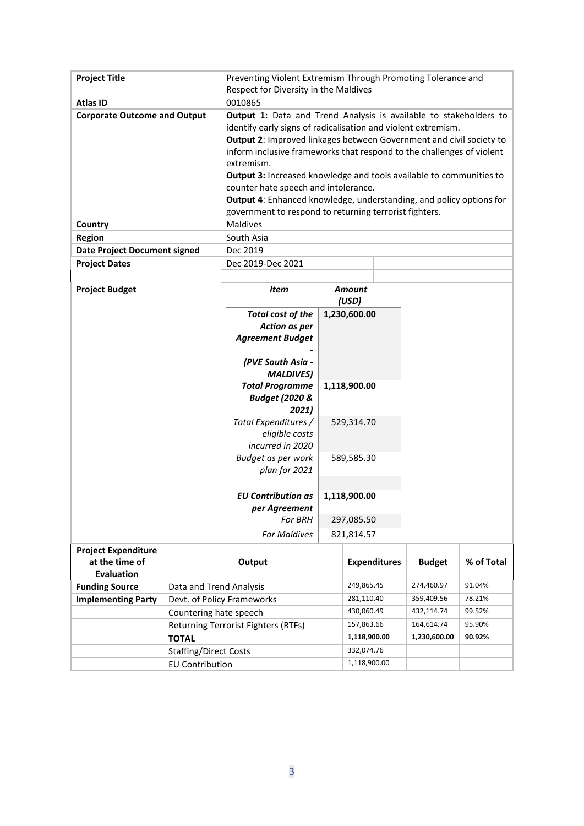| <b>Project Title</b>                |                                                      | Preventing Violent Extremism Through Promoting Tolerance and<br>Respect for Diversity in the Maldives |                          |                                            |                          |                  |            |
|-------------------------------------|------------------------------------------------------|-------------------------------------------------------------------------------------------------------|--------------------------|--------------------------------------------|--------------------------|------------------|------------|
| <b>Atlas ID</b>                     |                                                      | 0010865                                                                                               |                          |                                            |                          |                  |            |
| <b>Corporate Outcome and Output</b> |                                                      | Output 1: Data and Trend Analysis is available to stakeholders to                                     |                          |                                            |                          |                  |            |
|                                     |                                                      | identify early signs of radicalisation and violent extremism.                                         |                          |                                            |                          |                  |            |
|                                     |                                                      | Output 2: Improved linkages between Government and civil society to                                   |                          |                                            |                          |                  |            |
|                                     |                                                      | inform inclusive frameworks that respond to the challenges of violent                                 |                          |                                            |                          |                  |            |
|                                     |                                                      | extremism.                                                                                            |                          |                                            |                          |                  |            |
|                                     |                                                      | <b>Output 3:</b> Increased knowledge and tools available to communities to                            |                          |                                            |                          |                  |            |
|                                     |                                                      | counter hate speech and intolerance.                                                                  |                          |                                            |                          |                  |            |
|                                     |                                                      | Output 4: Enhanced knowledge, understanding, and policy options for                                   |                          |                                            |                          |                  |            |
|                                     |                                                      | government to respond to returning terrorist fighters.                                                |                          |                                            |                          |                  |            |
| Country                             |                                                      | Maldives<br>South Asia                                                                                |                          |                                            |                          |                  |            |
| <b>Region</b>                       |                                                      |                                                                                                       |                          |                                            |                          |                  |            |
| <b>Date Project Document signed</b> |                                                      | Dec 2019                                                                                              |                          |                                            |                          |                  |            |
| <b>Project Dates</b>                |                                                      | Dec 2019-Dec 2021                                                                                     |                          |                                            |                          |                  |            |
| <b>Project Budget</b>               |                                                      | <b>Item</b>                                                                                           |                          | <b>Amount</b>                              |                          |                  |            |
|                                     |                                                      |                                                                                                       |                          | (USD)                                      |                          |                  |            |
|                                     |                                                      | <b>Total cost of the</b>                                                                              |                          | 1,230,600.00                               |                          |                  |            |
|                                     |                                                      | <b>Action as per</b>                                                                                  |                          |                                            |                          |                  |            |
|                                     |                                                      | <b>Agreement Budget</b>                                                                               |                          |                                            |                          |                  |            |
|                                     |                                                      |                                                                                                       |                          |                                            |                          |                  |            |
|                                     |                                                      | (PVE South Asia -                                                                                     |                          |                                            |                          |                  |            |
|                                     |                                                      | <b>MALDIVES)</b>                                                                                      |                          |                                            |                          |                  |            |
|                                     |                                                      | <b>Total Programme</b>                                                                                |                          | 1,118,900.00                               |                          |                  |            |
|                                     |                                                      | <b>Budget (2020 &amp;</b>                                                                             |                          |                                            |                          |                  |            |
|                                     |                                                      | 2021)<br>Total Expenditures /                                                                         |                          | 529,314.70                                 |                          |                  |            |
|                                     |                                                      | eligible costs                                                                                        |                          |                                            |                          |                  |            |
|                                     |                                                      | incurred in 2020                                                                                      |                          |                                            |                          |                  |            |
|                                     |                                                      | Budget as per work                                                                                    |                          | 589,585.30                                 |                          |                  |            |
|                                     |                                                      | plan for 2021                                                                                         |                          |                                            |                          |                  |            |
|                                     |                                                      |                                                                                                       |                          |                                            |                          |                  |            |
|                                     |                                                      | <b>EU Contribution as</b>                                                                             |                          | 1,118,900.00                               |                          |                  |            |
|                                     |                                                      | per Agreement                                                                                         |                          |                                            |                          |                  |            |
|                                     |                                                      | For BRH                                                                                               |                          | 297,085.50                                 |                          |                  |            |
|                                     |                                                      | <b>For Maldives</b>                                                                                   |                          | 821,814.57                                 |                          |                  |            |
| <b>Project Expenditure</b>          |                                                      |                                                                                                       |                          |                                            |                          |                  |            |
| at the time of                      |                                                      | Output                                                                                                |                          |                                            | <b>Expenditures</b>      | <b>Budget</b>    | % of Total |
| <b>Evaluation</b>                   |                                                      |                                                                                                       |                          |                                            |                          |                  |            |
| <b>Funding Source</b>               | Data and Trend Analysis                              |                                                                                                       | 249,865.45               |                                            | 274,460.97               | 91.04%           |            |
| <b>Implementing Party</b>           | Devt. of Policy Frameworks<br>Countering hate speech |                                                                                                       | 281,110.40<br>430,060.49 |                                            | 359,409.56<br>432,114.74 | 78.21%<br>99.52% |            |
|                                     |                                                      |                                                                                                       |                          |                                            |                          | 164,614.74       | 95.90%     |
|                                     |                                                      | Returning Terrorist Fighters (RTFs)                                                                   |                          | 157,863.66<br>1,118,900.00<br>1,230,600.00 |                          | 90.92%           |            |
| <b>TOTAL</b>                        |                                                      |                                                                                                       |                          | 332,074.76                                 |                          |                  |            |
| <b>Staffing/Direct Costs</b>        |                                                      |                                                                                                       |                          | 1,118,900.00                               |                          |                  |            |
| <b>EU Contribution</b>              |                                                      |                                                                                                       |                          |                                            |                          |                  |            |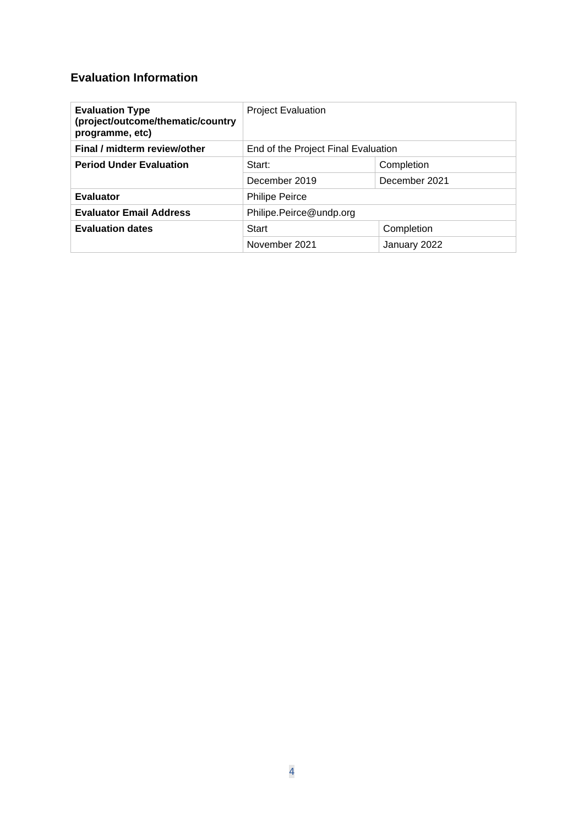### **Evaluation Information**

| <b>Evaluation Type</b><br>(project/outcome/thematic/country<br>programme, etc) | <b>Project Evaluation</b>           |               |  |
|--------------------------------------------------------------------------------|-------------------------------------|---------------|--|
| Final / midterm review/other                                                   | End of the Project Final Evaluation |               |  |
| <b>Period Under Evaluation</b>                                                 | Start:                              | Completion    |  |
|                                                                                | December 2019                       | December 2021 |  |
| <b>Evaluator</b>                                                               | <b>Philipe Peirce</b>               |               |  |
| <b>Evaluator Email Address</b>                                                 | Philipe.Peirce@undp.org             |               |  |
| <b>Evaluation dates</b>                                                        | Start                               | Completion    |  |
|                                                                                | November 2021                       | January 2022  |  |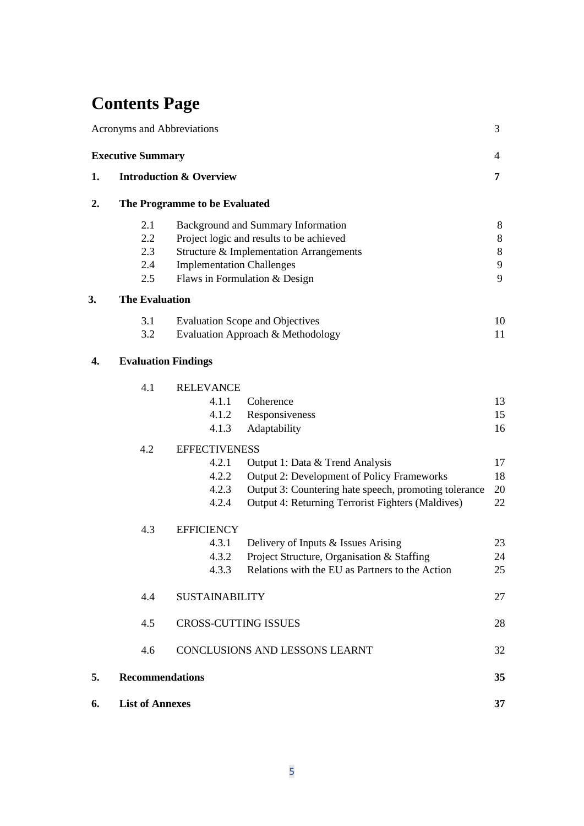# **Contents Page**

|    | Acronyms and Abbreviations         |                                                                   |                                                                                                                                                                                                    | 3                     |
|----|------------------------------------|-------------------------------------------------------------------|----------------------------------------------------------------------------------------------------------------------------------------------------------------------------------------------------|-----------------------|
|    | <b>Executive Summary</b>           |                                                                   |                                                                                                                                                                                                    | 4                     |
| 1. | <b>Introduction &amp; Overview</b> |                                                                   | 7                                                                                                                                                                                                  |                       |
| 2. |                                    | The Programme to be Evaluated                                     |                                                                                                                                                                                                    |                       |
|    | 2.1<br>2.2<br>2.3<br>2.4<br>2.5    | <b>Implementation Challenges</b><br>Flaws in Formulation & Design | Background and Summary Information<br>Project logic and results to be achieved<br>Structure & Implementation Arrangements                                                                          | 8<br>8<br>8<br>9<br>9 |
| 3. | <b>The Evaluation</b>              |                                                                   |                                                                                                                                                                                                    |                       |
|    | 3.1<br>3.2                         |                                                                   | <b>Evaluation Scope and Objectives</b><br>Evaluation Approach & Methodology                                                                                                                        | 10<br>11              |
| 4. | <b>Evaluation Findings</b>         |                                                                   |                                                                                                                                                                                                    |                       |
|    | 4.1                                | <b>RELEVANCE</b><br>4.1.1<br>4.1.2<br>4.1.3                       | Coherence<br>Responsiveness<br>Adaptability                                                                                                                                                        | 13<br>15<br>16        |
|    | 4.2                                | <b>EFFECTIVENESS</b><br>4.2.1<br>4.2.2<br>4.2.3<br>4.2.4          | Output 1: Data & Trend Analysis<br><b>Output 2: Development of Policy Frameworks</b><br>Output 3: Countering hate speech, promoting tolerance<br>Output 4: Returning Terrorist Fighters (Maldives) | 17<br>18<br>20<br>22  |
|    | 4.3                                | <b>EFFICIENCY</b><br>4.3.1<br>4.3.2<br>4.3.3                      | Delivery of Inputs & Issues Arising<br>Project Structure, Organisation & Staffing<br>Relations with the EU as Partners to the Action                                                               | 23<br>24<br>25        |
|    | 4.4                                | <b>SUSTAINABILITY</b>                                             |                                                                                                                                                                                                    | 27                    |
|    | 4.5                                | <b>CROSS-CUTTING ISSUES</b>                                       |                                                                                                                                                                                                    | 28                    |
|    | 4.6                                |                                                                   | CONCLUSIONS AND LESSONS LEARNT                                                                                                                                                                     | 32                    |
| 5. | <b>Recommendations</b>             |                                                                   |                                                                                                                                                                                                    | 35                    |
| 6. | <b>List of Annexes</b>             |                                                                   |                                                                                                                                                                                                    | 37                    |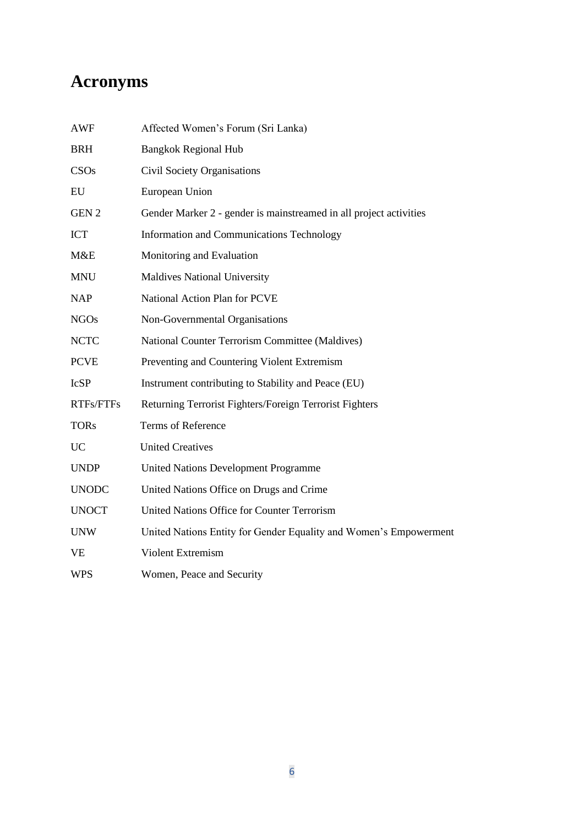# **Acronyms**

| AWF              | Affected Women's Forum (Sri Lanka)                                 |
|------------------|--------------------------------------------------------------------|
| <b>BRH</b>       | <b>Bangkok Regional Hub</b>                                        |
| CSOs             | <b>Civil Society Organisations</b>                                 |
| EU               | European Union                                                     |
| GEN <sub>2</sub> | Gender Marker 2 - gender is mainstreamed in all project activities |
| <b>ICT</b>       | <b>Information and Communications Technology</b>                   |
| M&E              | Monitoring and Evaluation                                          |
| <b>MNU</b>       | <b>Maldives National University</b>                                |
| <b>NAP</b>       | National Action Plan for PCVE                                      |
| <b>NGOs</b>      | Non-Governmental Organisations                                     |
| <b>NCTC</b>      | National Counter Terrorism Committee (Maldives)                    |
| <b>PCVE</b>      | Preventing and Countering Violent Extremism                        |
| <b>IcSP</b>      | Instrument contributing to Stability and Peace (EU)                |
| RTFs/FTFs        | Returning Terrorist Fighters/Foreign Terrorist Fighters            |
| <b>TORs</b>      | <b>Terms of Reference</b>                                          |
| <b>UC</b>        | <b>United Creatives</b>                                            |
| <b>UNDP</b>      | <b>United Nations Development Programme</b>                        |
| <b>UNODC</b>     | United Nations Office on Drugs and Crime                           |
| <b>UNOCT</b>     | United Nations Office for Counter Terrorism                        |
| <b>UNW</b>       | United Nations Entity for Gender Equality and Women's Empowerment  |
| VE               | Violent Extremism                                                  |
| <b>WPS</b>       | Women, Peace and Security                                          |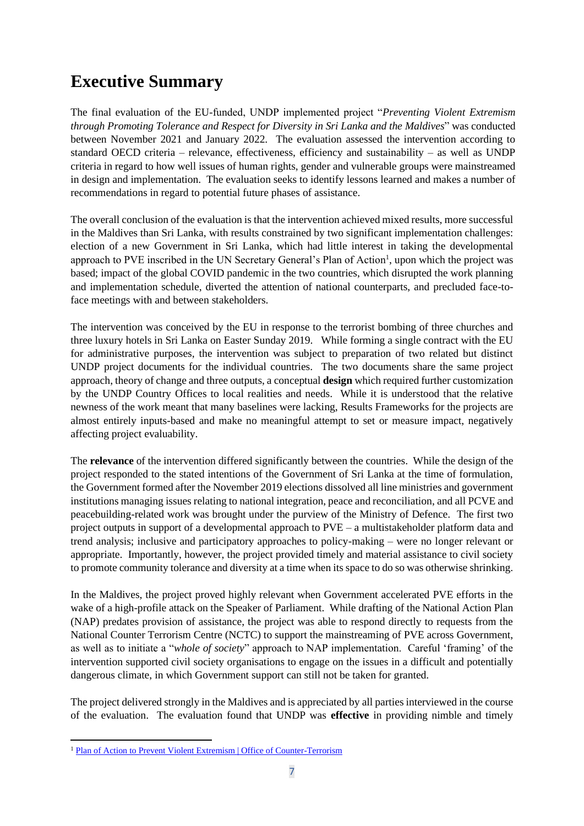# **Executive Summary**

The final evaluation of the EU-funded, UNDP implemented project "*Preventing Violent Extremism through Promoting Tolerance and Respect for Diversity in Sri Lanka and the Maldives*" was conducted between November 2021 and January 2022. The evaluation assessed the intervention according to standard OECD criteria – relevance, effectiveness, efficiency and sustainability – as well as UNDP criteria in regard to how well issues of human rights, gender and vulnerable groups were mainstreamed in design and implementation. The evaluation seeks to identify lessons learned and makes a number of recommendations in regard to potential future phases of assistance.

The overall conclusion of the evaluation is that the intervention achieved mixed results, more successful in the Maldives than Sri Lanka, with results constrained by two significant implementation challenges: election of a new Government in Sri Lanka, which had little interest in taking the developmental approach to PVE inscribed in the UN Secretary General's Plan of Action<sup>1</sup>, upon which the project was based; impact of the global COVID pandemic in the two countries, which disrupted the work planning and implementation schedule, diverted the attention of national counterparts, and precluded face-toface meetings with and between stakeholders.

The intervention was conceived by the EU in response to the terrorist bombing of three churches and three luxury hotels in Sri Lanka on Easter Sunday 2019. While forming a single contract with the EU for administrative purposes, the intervention was subject to preparation of two related but distinct UNDP project documents for the individual countries. The two documents share the same project approach, theory of change and three outputs, a conceptual **design** which required further customization by the UNDP Country Offices to local realities and needs. While it is understood that the relative newness of the work meant that many baselines were lacking, Results Frameworks for the projects are almost entirely inputs-based and make no meaningful attempt to set or measure impact, negatively affecting project evaluability.

The **relevance** of the intervention differed significantly between the countries. While the design of the project responded to the stated intentions of the Government of Sri Lanka at the time of formulation, the Government formed after the November 2019 elections dissolved all line ministries and government institutions managing issues relating to national integration, peace and reconciliation, and all PCVE and peacebuilding-related work was brought under the purview of the Ministry of Defence. The first two project outputs in support of a developmental approach to PVE – a multistakeholder platform data and trend analysis; inclusive and participatory approaches to policy-making – were no longer relevant or appropriate. Importantly, however, the project provided timely and material assistance to civil society to promote community tolerance and diversity at a time when its space to do so was otherwise shrinking.

In the Maldives, the project proved highly relevant when Government accelerated PVE efforts in the wake of a high-profile attack on the Speaker of Parliament. While drafting of the National Action Plan (NAP) predates provision of assistance, the project was able to respond directly to requests from the National Counter Terrorism Centre (NCTC) to support the mainstreaming of PVE across Government, as well as to initiate a "*whole of society*" approach to NAP implementation. Careful 'framing' of the intervention supported civil society organisations to engage on the issues in a difficult and potentially dangerous climate, in which Government support can still not be taken for granted.

The project delivered strongly in the Maldives and is appreciated by all parties interviewed in the course of the evaluation. The evaluation found that UNDP was **effective** in providing nimble and timely

<sup>&</sup>lt;sup>1</sup> [Plan of Action to Prevent Violent Extremism | Office of Counter-Terrorism](https://www.un.org/counterterrorism/plan-of-action-to-prevent-violent-extremism)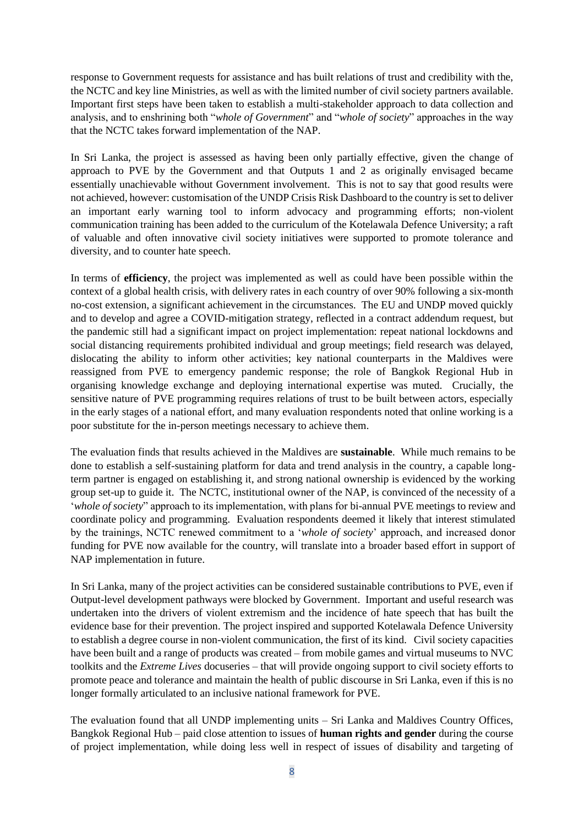response to Government requests for assistance and has built relations of trust and credibility with the, the NCTC and key line Ministries, as well as with the limited number of civil society partners available. Important first steps have been taken to establish a multi-stakeholder approach to data collection and analysis, and to enshrining both "*whole of Government*" and "*whole of society*" approaches in the way that the NCTC takes forward implementation of the NAP.

In Sri Lanka, the project is assessed as having been only partially effective, given the change of approach to PVE by the Government and that Outputs 1 and 2 as originally envisaged became essentially unachievable without Government involvement. This is not to say that good results were not achieved, however: customisation of the UNDP Crisis Risk Dashboard to the country is set to deliver an important early warning tool to inform advocacy and programming efforts; non-violent communication training has been added to the curriculum of the Kotelawala Defence University; a raft of valuable and often innovative civil society initiatives were supported to promote tolerance and diversity, and to counter hate speech.

In terms of **efficiency**, the project was implemented as well as could have been possible within the context of a global health crisis, with delivery rates in each country of over 90% following a six-month no-cost extension, a significant achievement in the circumstances. The EU and UNDP moved quickly and to develop and agree a COVID-mitigation strategy, reflected in a contract addendum request, but the pandemic still had a significant impact on project implementation: repeat national lockdowns and social distancing requirements prohibited individual and group meetings; field research was delayed, dislocating the ability to inform other activities; key national counterparts in the Maldives were reassigned from PVE to emergency pandemic response; the role of Bangkok Regional Hub in organising knowledge exchange and deploying international expertise was muted. Crucially, the sensitive nature of PVE programming requires relations of trust to be built between actors, especially in the early stages of a national effort, and many evaluation respondents noted that online working is a poor substitute for the in-person meetings necessary to achieve them.

The evaluation finds that results achieved in the Maldives are **sustainable**. While much remains to be done to establish a self-sustaining platform for data and trend analysis in the country, a capable longterm partner is engaged on establishing it, and strong national ownership is evidenced by the working group set-up to guide it. The NCTC, institutional owner of the NAP, is convinced of the necessity of a '*whole of society*" approach to its implementation, with plans for bi-annual PVE meetings to review and coordinate policy and programming. Evaluation respondents deemed it likely that interest stimulated by the trainings, NCTC renewed commitment to a '*whole of society*' approach, and increased donor funding for PVE now available for the country, will translate into a broader based effort in support of NAP implementation in future.

In Sri Lanka, many of the project activities can be considered sustainable contributions to PVE, even if Output-level development pathways were blocked by Government. Important and useful research was undertaken into the drivers of violent extremism and the incidence of hate speech that has built the evidence base for their prevention. The project inspired and supported Kotelawala Defence University to establish a degree course in non-violent communication, the first of its kind. Civil society capacities have been built and a range of products was created – from mobile games and virtual museums to NVC toolkits and the *Extreme Lives* docuseries – that will provide ongoing support to civil society efforts to promote peace and tolerance and maintain the health of public discourse in Sri Lanka, even if this is no longer formally articulated to an inclusive national framework for PVE.

The evaluation found that all UNDP implementing units – Sri Lanka and Maldives Country Offices, Bangkok Regional Hub – paid close attention to issues of **human rights and gender** during the course of project implementation, while doing less well in respect of issues of disability and targeting of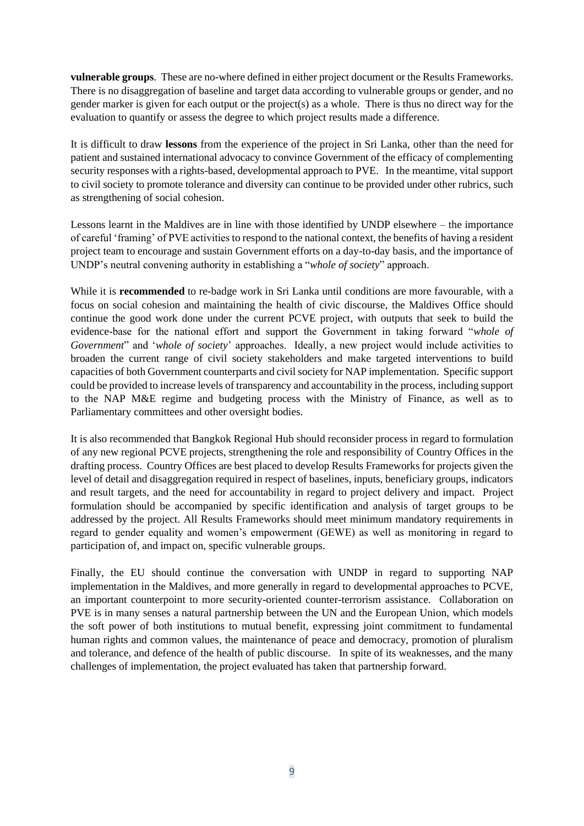**vulnerable groups**. These are no-where defined in either project document or the Results Frameworks. There is no disaggregation of baseline and target data according to vulnerable groups or gender, and no gender marker is given for each output or the project(s) as a whole. There is thus no direct way for the evaluation to quantify or assess the degree to which project results made a difference.

It is difficult to draw **lessons** from the experience of the project in Sri Lanka, other than the need for patient and sustained international advocacy to convince Government of the efficacy of complementing security responses with a rights-based, developmental approach to PVE. In the meantime, vital support to civil society to promote tolerance and diversity can continue to be provided under other rubrics, such as strengthening of social cohesion.

Lessons learnt in the Maldives are in line with those identified by UNDP elsewhere – the importance of careful 'framing' of PVE activities to respond to the national context, the benefits of having a resident project team to encourage and sustain Government efforts on a day-to-day basis, and the importance of UNDP's neutral convening authority in establishing a "*whole of society*" approach.

While it is **recommended** to re-badge work in Sri Lanka until conditions are more favourable, with a focus on social cohesion and maintaining the health of civic discourse, the Maldives Office should continue the good work done under the current PCVE project, with outputs that seek to build the evidence-base for the national effort and support the Government in taking forward "*whole of Government*" and '*whole of society*' approaches. Ideally, a new project would include activities to broaden the current range of civil society stakeholders and make targeted interventions to build capacities of both Government counterparts and civil society for NAP implementation. Specific support could be provided to increase levels of transparency and accountability in the process, including support to the NAP M&E regime and budgeting process with the Ministry of Finance, as well as to Parliamentary committees and other oversight bodies.

It is also recommended that Bangkok Regional Hub should reconsider process in regard to formulation of any new regional PCVE projects, strengthening the role and responsibility of Country Offices in the drafting process. Country Offices are best placed to develop Results Frameworks for projects given the level of detail and disaggregation required in respect of baselines, inputs, beneficiary groups, indicators and result targets, and the need for accountability in regard to project delivery and impact. Project formulation should be accompanied by specific identification and analysis of target groups to be addressed by the project. All Results Frameworks should meet minimum mandatory requirements in regard to gender equality and women's empowerment (GEWE) as well as monitoring in regard to participation of, and impact on, specific vulnerable groups.

Finally, the EU should continue the conversation with UNDP in regard to supporting NAP implementation in the Maldives, and more generally in regard to developmental approaches to PCVE, an important counterpoint to more security-oriented counter-terrorism assistance. Collaboration on PVE is in many senses a natural partnership between the UN and the European Union, which models the soft power of both institutions to mutual benefit, expressing joint commitment to fundamental human rights and common values, the maintenance of peace and democracy, promotion of pluralism and tolerance, and defence of the health of public discourse. In spite of its weaknesses, and the many challenges of implementation, the project evaluated has taken that partnership forward.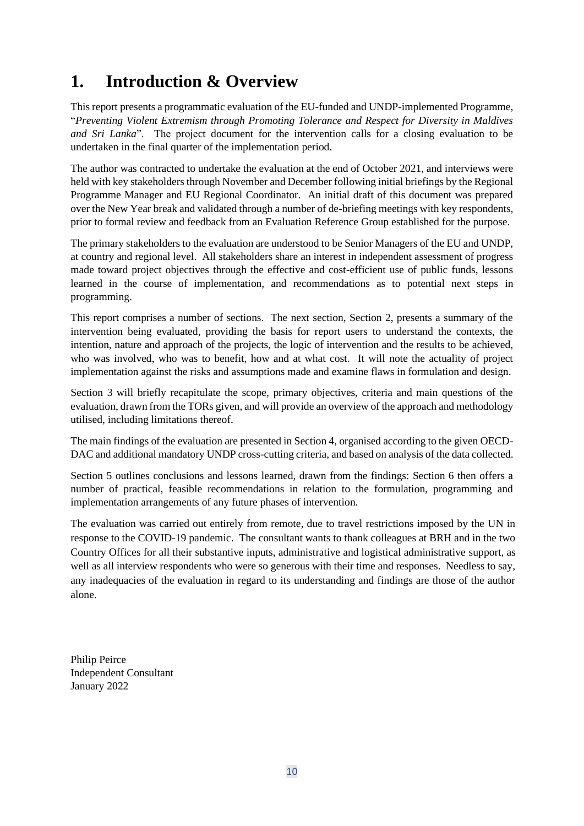# **1. Introduction & Overview**

This report presents a programmatic evaluation of the EU-funded and UNDP-implemented Programme, "*Preventing Violent Extremism through Promoting Tolerance and Respect for Diversity in Maldives and Sri Lanka*". The project document for the intervention calls for a closing evaluation to be undertaken in the final quarter of the implementation period.

The author was contracted to undertake the evaluation at the end of October 2021, and interviews were held with key stakeholders through November and December following initial briefings by the Regional Programme Manager and EU Regional Coordinator. An initial draft of this document was prepared over the New Year break and validated through a number of de-briefing meetings with key respondents, prior to formal review and feedback from an Evaluation Reference Group established for the purpose.

The primary stakeholders to the evaluation are understood to be Senior Managers of the EU and UNDP, at country and regional level. All stakeholders share an interest in independent assessment of progress made toward project objectives through the effective and cost-efficient use of public funds, lessons learned in the course of implementation, and recommendations as to potential next steps in programming.

This report comprises a number of sections. The next section, Section 2, presents a summary of the intervention being evaluated, providing the basis for report users to understand the contexts, the intention, nature and approach of the projects, the logic of intervention and the results to be achieved, who was involved, who was to benefit, how and at what cost. It will note the actuality of project implementation against the risks and assumptions made and examine flaws in formulation and design.

Section 3 will briefly recapitulate the scope, primary objectives, criteria and main questions of the evaluation, drawn from the TORs given, and will provide an overview of the approach and methodology utilised, including limitations thereof.

The main findings of the evaluation are presented in Section 4, organised according to the given OECD-DAC and additional mandatory UNDP cross-cutting criteria, and based on analysis of the data collected.

Section 5 outlines conclusions and lessons learned, drawn from the findings: Section 6 then offers a number of practical, feasible recommendations in relation to the formulation, programming and implementation arrangements of any future phases of intervention.

The evaluation was carried out entirely from remote, due to travel restrictions imposed by the UN in response to the COVID-19 pandemic. The consultant wants to thank colleagues at BRH and in the two Country Offices for all their substantive inputs, administrative and logistical administrative support, as well as all interview respondents who were so generous with their time and responses. Needless to say, any inadequacies of the evaluation in regard to its understanding and findings are those of the author alone.

Philip Peirce Independent Consultant January 2022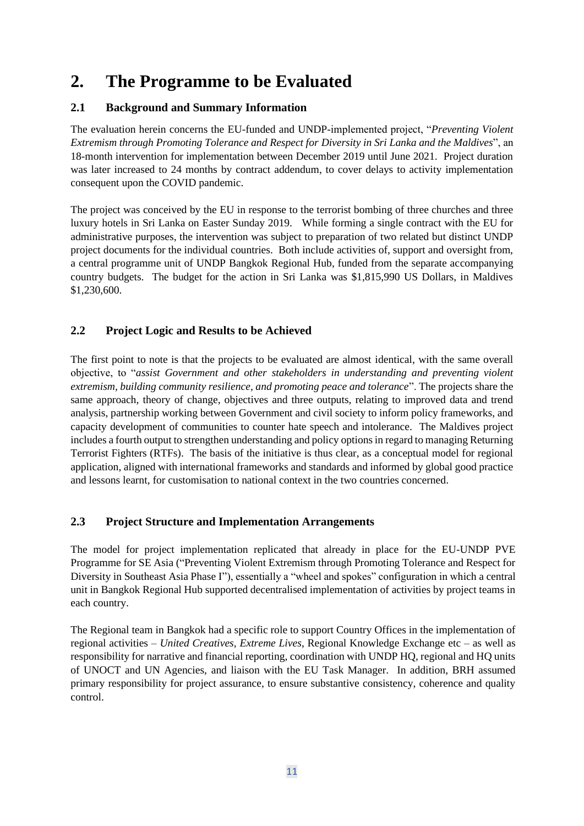## **2. The Programme to be Evaluated**

#### **2.1 Background and Summary Information**

The evaluation herein concerns the EU-funded and UNDP-implemented project, "*Preventing Violent Extremism through Promoting Tolerance and Respect for Diversity in Sri Lanka and the Maldives*", an 18-month intervention for implementation between December 2019 until June 2021. Project duration was later increased to 24 months by contract addendum, to cover delays to activity implementation consequent upon the COVID pandemic.

The project was conceived by the EU in response to the terrorist bombing of three churches and three luxury hotels in Sri Lanka on Easter Sunday 2019. While forming a single contract with the EU for administrative purposes, the intervention was subject to preparation of two related but distinct UNDP project documents for the individual countries. Both include activities of, support and oversight from, a central programme unit of UNDP Bangkok Regional Hub, funded from the separate accompanying country budgets. The budget for the action in Sri Lanka was \$1,815,990 US Dollars, in Maldives \$1,230,600.

#### **2.2 Project Logic and Results to be Achieved**

The first point to note is that the projects to be evaluated are almost identical, with the same overall objective, to "*assist Government and other stakeholders in understanding and preventing violent extremism, building community resilience, and promoting peace and tolerance*". The projects share the same approach, theory of change, objectives and three outputs, relating to improved data and trend analysis, partnership working between Government and civil society to inform policy frameworks, and capacity development of communities to counter hate speech and intolerance. The Maldives project includes a fourth output to strengthen understanding and policy options in regard to managing Returning Terrorist Fighters (RTFs). The basis of the initiative is thus clear, as a conceptual model for regional application, aligned with international frameworks and standards and informed by global good practice and lessons learnt, for customisation to national context in the two countries concerned.

#### **2.3 Project Structure and Implementation Arrangements**

The model for project implementation replicated that already in place for the EU-UNDP PVE Programme for SE Asia ("Preventing Violent Extremism through Promoting Tolerance and Respect for Diversity in Southeast Asia Phase I"), essentially a "wheel and spokes" configuration in which a central unit in Bangkok Regional Hub supported decentralised implementation of activities by project teams in each country.

The Regional team in Bangkok had a specific role to support Country Offices in the implementation of regional activities – *United Creatives, Extreme Lives*, Regional Knowledge Exchange etc – as well as responsibility for narrative and financial reporting, coordination with UNDP HQ, regional and HQ units of UNOCT and UN Agencies, and liaison with the EU Task Manager. In addition, BRH assumed primary responsibility for project assurance, to ensure substantive consistency, coherence and quality control.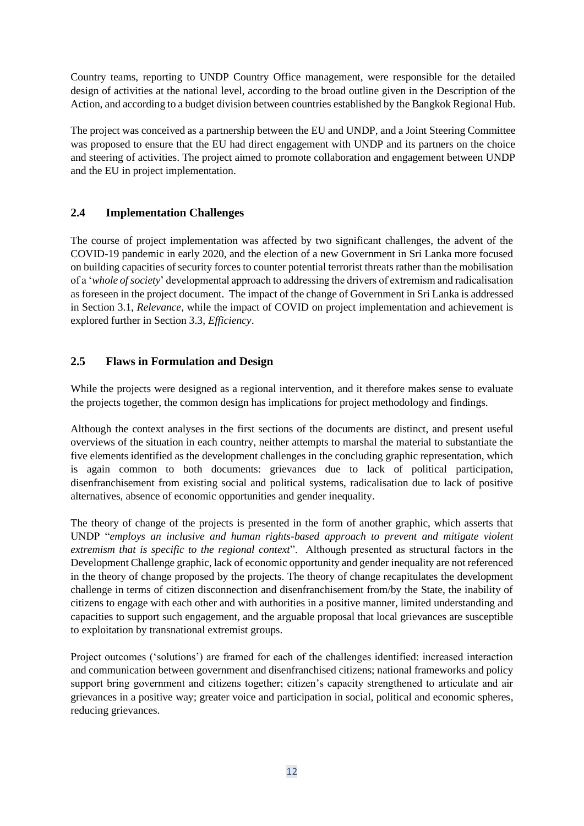Country teams, reporting to UNDP Country Office management, were responsible for the detailed design of activities at the national level, according to the broad outline given in the Description of the Action, and according to a budget division between countries established by the Bangkok Regional Hub.

The project was conceived as a partnership between the EU and UNDP, and a Joint Steering Committee was proposed to ensure that the EU had direct engagement with UNDP and its partners on the choice and steering of activities. The project aimed to promote collaboration and engagement between UNDP and the EU in project implementation.

#### **2.4 Implementation Challenges**

The course of project implementation was affected by two significant challenges, the advent of the COVID-19 pandemic in early 2020, and the election of a new Government in Sri Lanka more focused on building capacities of security forces to counter potential terrorist threats rather than the mobilisation of a '*whole of society*' developmental approach to addressing the drivers of extremism and radicalisation as foreseen in the project document. The impact of the change of Government in Sri Lanka is addressed in Section 3.1, *Relevance*, while the impact of COVID on project implementation and achievement is explored further in Section 3.3, *Efficiency*.

#### **2.5 Flaws in Formulation and Design**

While the projects were designed as a regional intervention, and it therefore makes sense to evaluate the projects together, the common design has implications for project methodology and findings.

Although the context analyses in the first sections of the documents are distinct, and present useful overviews of the situation in each country, neither attempts to marshal the material to substantiate the five elements identified as the development challenges in the concluding graphic representation, which is again common to both documents: grievances due to lack of political participation, disenfranchisement from existing social and political systems, radicalisation due to lack of positive alternatives, absence of economic opportunities and gender inequality.

The theory of change of the projects is presented in the form of another graphic, which asserts that UNDP "*employs an inclusive and human rights-based approach to prevent and mitigate violent extremism that is specific to the regional context*". Although presented as structural factors in the Development Challenge graphic, lack of economic opportunity and gender inequality are not referenced in the theory of change proposed by the projects. The theory of change recapitulates the development challenge in terms of citizen disconnection and disenfranchisement from/by the State, the inability of citizens to engage with each other and with authorities in a positive manner, limited understanding and capacities to support such engagement, and the arguable proposal that local grievances are susceptible to exploitation by transnational extremist groups.

Project outcomes ('solutions') are framed for each of the challenges identified: increased interaction and communication between government and disenfranchised citizens; national frameworks and policy support bring government and citizens together; citizen's capacity strengthened to articulate and air grievances in a positive way; greater voice and participation in social, political and economic spheres, reducing grievances.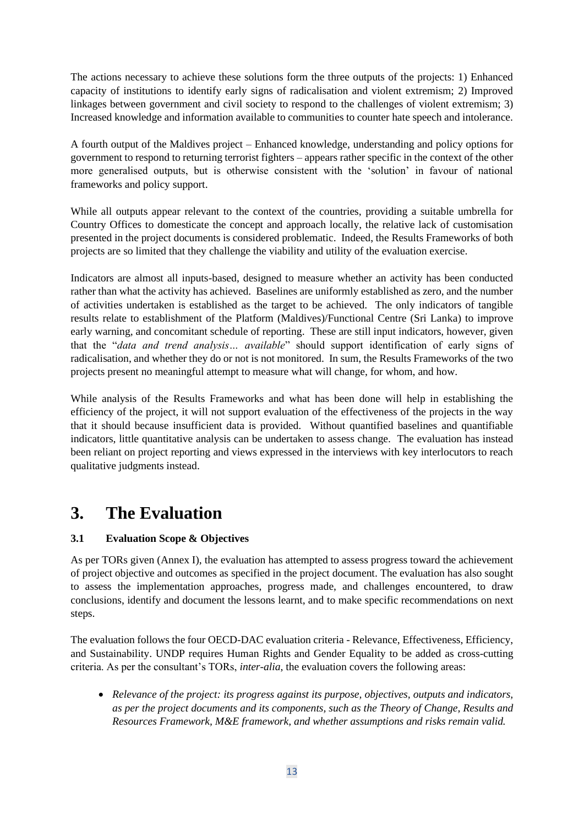The actions necessary to achieve these solutions form the three outputs of the projects: 1) Enhanced capacity of institutions to identify early signs of radicalisation and violent extremism; 2) Improved linkages between government and civil society to respond to the challenges of violent extremism; 3) Increased knowledge and information available to communities to counter hate speech and intolerance.

A fourth output of the Maldives project – Enhanced knowledge, understanding and policy options for government to respond to returning terrorist fighters – appears rather specific in the context of the other more generalised outputs, but is otherwise consistent with the 'solution' in favour of national frameworks and policy support.

While all outputs appear relevant to the context of the countries, providing a suitable umbrella for Country Offices to domesticate the concept and approach locally, the relative lack of customisation presented in the project documents is considered problematic. Indeed, the Results Frameworks of both projects are so limited that they challenge the viability and utility of the evaluation exercise.

Indicators are almost all inputs-based, designed to measure whether an activity has been conducted rather than what the activity has achieved. Baselines are uniformly established as zero, and the number of activities undertaken is established as the target to be achieved. The only indicators of tangible results relate to establishment of the Platform (Maldives)/Functional Centre (Sri Lanka) to improve early warning, and concomitant schedule of reporting. These are still input indicators, however, given that the "*data and trend analysis… available*" should support identification of early signs of radicalisation, and whether they do or not is not monitored. In sum, the Results Frameworks of the two projects present no meaningful attempt to measure what will change, for whom, and how.

While analysis of the Results Frameworks and what has been done will help in establishing the efficiency of the project, it will not support evaluation of the effectiveness of the projects in the way that it should because insufficient data is provided. Without quantified baselines and quantifiable indicators, little quantitative analysis can be undertaken to assess change. The evaluation has instead been reliant on project reporting and views expressed in the interviews with key interlocutors to reach qualitative judgments instead.

## **3. The Evaluation**

#### **3.1 Evaluation Scope & Objectives**

As per TORs given (Annex I), the evaluation has attempted to assess progress toward the achievement of project objective and outcomes as specified in the project document. The evaluation has also sought to assess the implementation approaches, progress made, and challenges encountered, to draw conclusions, identify and document the lessons learnt, and to make specific recommendations on next steps.

The evaluation follows the four OECD-DAC evaluation criteria - Relevance, Effectiveness, Efficiency, and Sustainability. UNDP requires Human Rights and Gender Equality to be added as cross-cutting criteria. As per the consultant's TORs, *inter-alia*, the evaluation covers the following areas:

• *Relevance of the project: its progress against its purpose, objectives, outputs and indicators, as per the project documents and its components, such as the Theory of Change, Results and Resources Framework, M&E framework, and whether assumptions and risks remain valid.*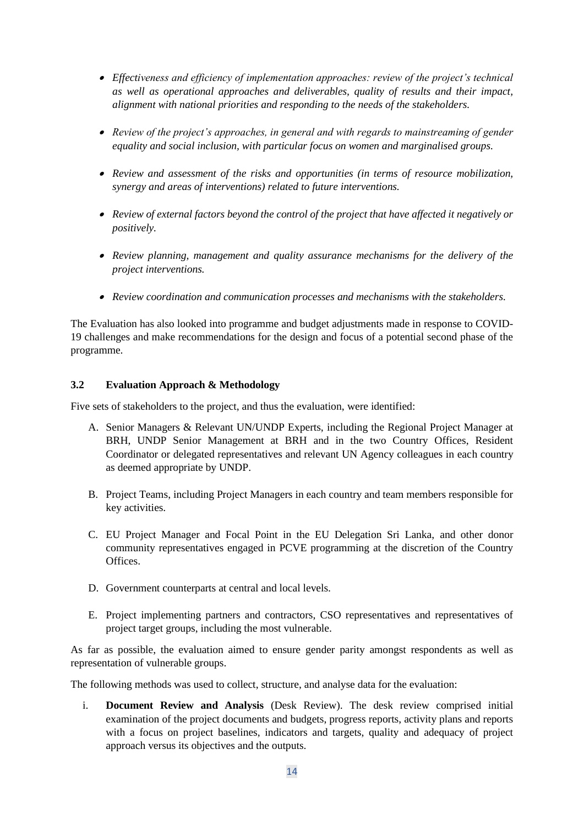- *Effectiveness and efficiency of implementation approaches: review of the project's technical as well as operational approaches and deliverables, quality of results and their impact, alignment with national priorities and responding to the needs of the stakeholders.*
- *Review of the project's approaches, in general and with regards to mainstreaming of gender equality and social inclusion, with particular focus on women and marginalised groups.*
- *Review and assessment of the risks and opportunities (in terms of resource mobilization, synergy and areas of interventions) related to future interventions.*
- *Review of external factors beyond the control of the project that have affected it negatively or positively.*
- *Review planning, management and quality assurance mechanisms for the delivery of the project interventions.*
- *Review coordination and communication processes and mechanisms with the stakeholders.*

The Evaluation has also looked into programme and budget adjustments made in response to COVID-19 challenges and make recommendations for the design and focus of a potential second phase of the programme.

#### **3.2 Evaluation Approach & Methodology**

Five sets of stakeholders to the project, and thus the evaluation, were identified:

- A. Senior Managers & Relevant UN/UNDP Experts, including the Regional Project Manager at BRH, UNDP Senior Management at BRH and in the two Country Offices, Resident Coordinator or delegated representatives and relevant UN Agency colleagues in each country as deemed appropriate by UNDP.
- B. Project Teams, including Project Managers in each country and team members responsible for key activities.
- C. EU Project Manager and Focal Point in the EU Delegation Sri Lanka, and other donor community representatives engaged in PCVE programming at the discretion of the Country Offices.
- D. Government counterparts at central and local levels.
- E. Project implementing partners and contractors, CSO representatives and representatives of project target groups, including the most vulnerable.

As far as possible, the evaluation aimed to ensure gender parity amongst respondents as well as representation of vulnerable groups.

The following methods was used to collect, structure, and analyse data for the evaluation:

i. **Document Review and Analysis** (Desk Review). The desk review comprised initial examination of the project documents and budgets, progress reports, activity plans and reports with a focus on project baselines, indicators and targets, quality and adequacy of project approach versus its objectives and the outputs.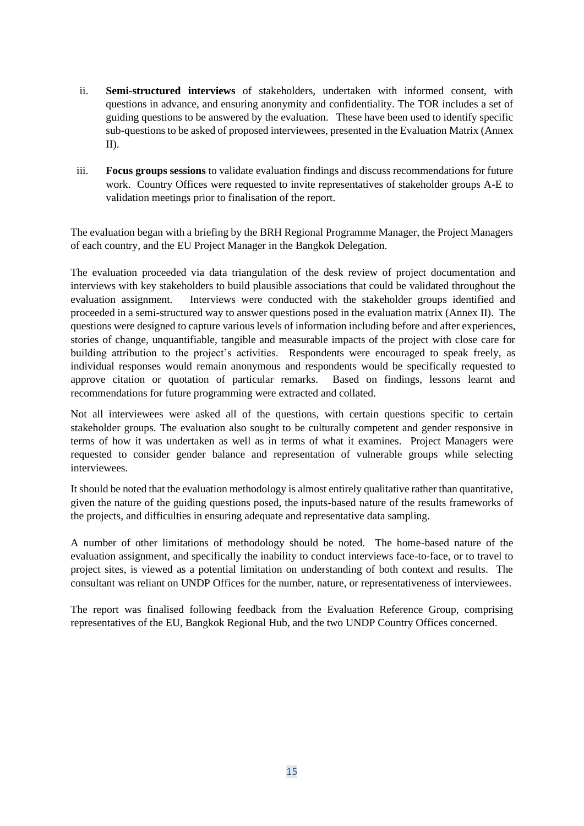- ii. **Semi-structured interviews** of stakeholders, undertaken with informed consent, with questions in advance, and ensuring anonymity and confidentiality. The TOR includes a set of guiding questions to be answered by the evaluation. These have been used to identify specific sub-questions to be asked of proposed interviewees, presented in the Evaluation Matrix (Annex II).
- iii. **Focus groups sessions** to validate evaluation findings and discuss recommendations for future work. Country Offices were requested to invite representatives of stakeholder groups A-E to validation meetings prior to finalisation of the report.

The evaluation began with a briefing by the BRH Regional Programme Manager, the Project Managers of each country, and the EU Project Manager in the Bangkok Delegation.

The evaluation proceeded via data triangulation of the desk review of project documentation and interviews with key stakeholders to build plausible associations that could be validated throughout the evaluation assignment. Interviews were conducted with the stakeholder groups identified and proceeded in a semi-structured way to answer questions posed in the evaluation matrix (Annex II). The questions were designed to capture various levels of information including before and after experiences, stories of change, unquantifiable, tangible and measurable impacts of the project with close care for building attribution to the project's activities. Respondents were encouraged to speak freely, as individual responses would remain anonymous and respondents would be specifically requested to approve citation or quotation of particular remarks. Based on findings, lessons learnt and recommendations for future programming were extracted and collated.

Not all interviewees were asked all of the questions, with certain questions specific to certain stakeholder groups. The evaluation also sought to be culturally competent and gender responsive in terms of how it was undertaken as well as in terms of what it examines. Project Managers were requested to consider gender balance and representation of vulnerable groups while selecting interviewees.

It should be noted that the evaluation methodology is almost entirely qualitative rather than quantitative, given the nature of the guiding questions posed, the inputs-based nature of the results frameworks of the projects, and difficulties in ensuring adequate and representative data sampling.

A number of other limitations of methodology should be noted. The home-based nature of the evaluation assignment, and specifically the inability to conduct interviews face-to-face, or to travel to project sites, is viewed as a potential limitation on understanding of both context and results. The consultant was reliant on UNDP Offices for the number, nature, or representativeness of interviewees.

The report was finalised following feedback from the Evaluation Reference Group, comprising representatives of the EU, Bangkok Regional Hub, and the two UNDP Country Offices concerned.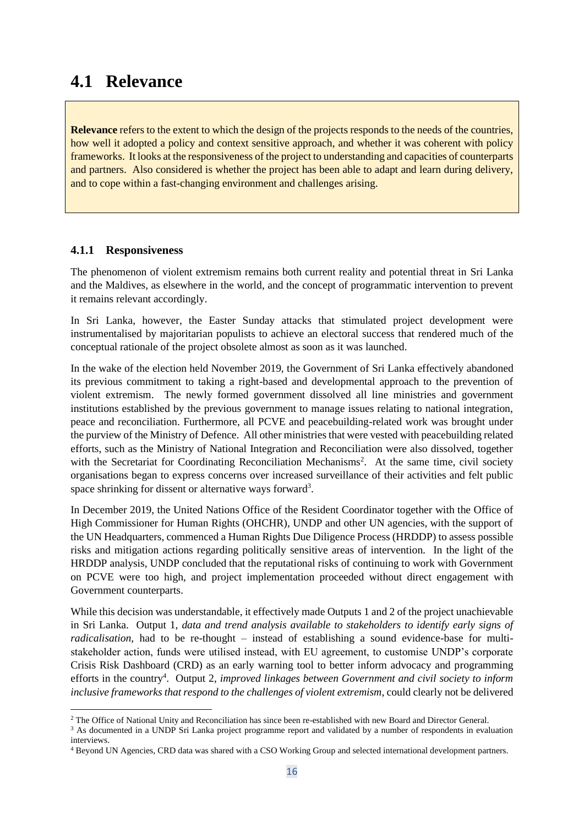### **4.1 Relevance**

**Relevance** refers to the extent to which the design of the projects responds to the needs of the countries, how well it adopted a policy and context sensitive approach, and whether it was coherent with policy frameworks. It looks at the responsiveness of the project to understanding and capacities of counterparts and partners. Also considered is whether the project has been able to adapt and learn during delivery, and to cope within a fast-changing environment and challenges arising.

#### **4.1.1 Responsiveness**

The phenomenon of violent extremism remains both current reality and potential threat in Sri Lanka and the Maldives, as elsewhere in the world, and the concept of programmatic intervention to prevent it remains relevant accordingly.

In Sri Lanka, however, the Easter Sunday attacks that stimulated project development were instrumentalised by majoritarian populists to achieve an electoral success that rendered much of the conceptual rationale of the project obsolete almost as soon as it was launched.

In the wake of the election held November 2019, the Government of Sri Lanka effectively abandoned its previous commitment to taking a right-based and developmental approach to the prevention of violent extremism. The newly formed government dissolved all line ministries and government institutions established by the previous government to manage issues relating to national integration, peace and reconciliation. Furthermore, all PCVE and peacebuilding-related work was brought under the purview of the Ministry of Defence. All other ministries that were vested with peacebuilding related efforts, such as the Ministry of National Integration and Reconciliation were also dissolved, together with the Secretariat for Coordinating Reconciliation Mechanisms<sup>2</sup>. At the same time, civil society organisations began to express concerns over increased surveillance of their activities and felt public space shrinking for dissent or alternative ways forward<sup>3</sup>.

In December 2019, the United Nations Office of the Resident Coordinator together with the Office of High Commissioner for Human Rights (OHCHR), UNDP and other UN agencies, with the support of the UN Headquarters, commenced a Human Rights Due Diligence Process (HRDDP) to assess possible risks and mitigation actions regarding politically sensitive areas of intervention. In the light of the HRDDP analysis, UNDP concluded that the reputational risks of continuing to work with Government on PCVE were too high, and project implementation proceeded without direct engagement with Government counterparts.

While this decision was understandable, it effectively made Outputs 1 and 2 of the project unachievable in Sri Lanka. Output 1, *data and trend analysis available to stakeholders to identify early signs of radicalisation*, had to be re-thought – instead of establishing a sound evidence-base for multistakeholder action, funds were utilised instead, with EU agreement, to customise UNDP's corporate Crisis Risk Dashboard (CRD) as an early warning tool to better inform advocacy and programming efforts in the country<sup>4</sup>. Output 2, *improved linkages between Government and civil society to inform inclusive frameworks that respond to the challenges of violent extremism*, could clearly not be delivered

<sup>&</sup>lt;sup>2</sup> The Office of National Unity and Reconciliation has since been re-established with new Board and Director General.

<sup>&</sup>lt;sup>3</sup> As documented in a UNDP Sri Lanka project programme report and validated by a number of respondents in evaluation interviews.

<sup>4</sup> Beyond UN Agencies, CRD data was shared with a CSO Working Group and selected international development partners.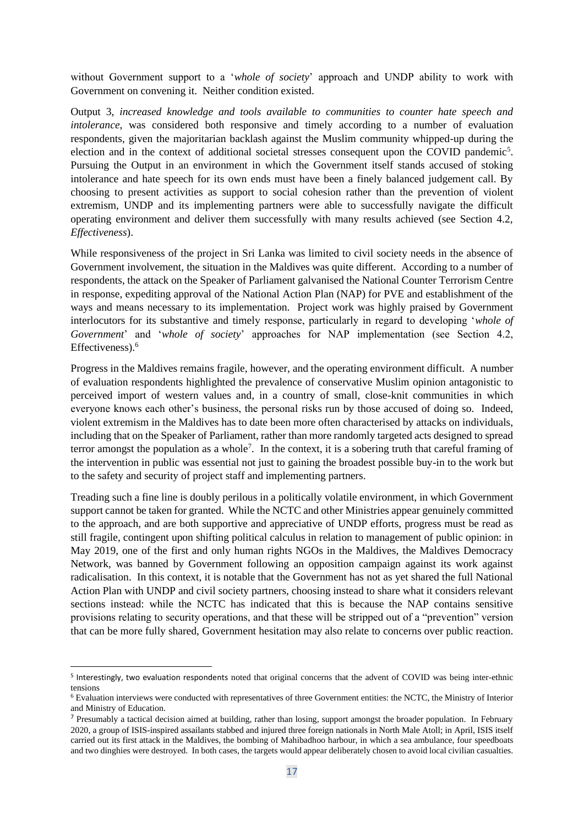without Government support to a '*whole of society*' approach and UNDP ability to work with Government on convening it. Neither condition existed.

Output 3, *increased knowledge and tools available to communities to counter hate speech and intolerance*, was considered both responsive and timely according to a number of evaluation respondents, given the majoritarian backlash against the Muslim community whipped-up during the election and in the context of additional societal stresses consequent upon the COVID pandemic<sup>5</sup>. Pursuing the Output in an environment in which the Government itself stands accused of stoking intolerance and hate speech for its own ends must have been a finely balanced judgement call. By choosing to present activities as support to social cohesion rather than the prevention of violent extremism, UNDP and its implementing partners were able to successfully navigate the difficult operating environment and deliver them successfully with many results achieved (see Section 4.2, *Effectiveness*).

While responsiveness of the project in Sri Lanka was limited to civil society needs in the absence of Government involvement, the situation in the Maldives was quite different. According to a number of respondents, the attack on the Speaker of Parliament galvanised the National Counter Terrorism Centre in response, expediting approval of the National Action Plan (NAP) for PVE and establishment of the ways and means necessary to its implementation. Project work was highly praised by Government interlocutors for its substantive and timely response, particularly in regard to developing '*whole of Government*' and '*whole of society*' approaches for NAP implementation (see Section 4.2, Effectiveness).<sup>6</sup>

Progress in the Maldives remains fragile, however, and the operating environment difficult. A number of evaluation respondents highlighted the prevalence of conservative Muslim opinion antagonistic to perceived import of western values and, in a country of small, close-knit communities in which everyone knows each other's business, the personal risks run by those accused of doing so. Indeed, violent extremism in the Maldives has to date been more often characterised by attacks on individuals, including that on the Speaker of Parliament, rather than more randomly targeted acts designed to spread terror amongst the population as a whole<sup>7</sup>. In the context, it is a sobering truth that careful framing of the intervention in public was essential not just to gaining the broadest possible buy-in to the work but to the safety and security of project staff and implementing partners.

Treading such a fine line is doubly perilous in a politically volatile environment, in which Government support cannot be taken for granted. While the NCTC and other Ministries appear genuinely committed to the approach, and are both supportive and appreciative of UNDP efforts, progress must be read as still fragile, contingent upon shifting political calculus in relation to management of public opinion: in May 2019, one of the first and only human rights NGOs in the Maldives, the Maldives Democracy Network, was banned by Government following an opposition campaign against its work against radicalisation. In this context, it is notable that the Government has not as yet shared the full National Action Plan with UNDP and civil society partners, choosing instead to share what it considers relevant sections instead: while the NCTC has indicated that this is because the NAP contains sensitive provisions relating to security operations, and that these will be stripped out of a "prevention" version that can be more fully shared, Government hesitation may also relate to concerns over public reaction.

<sup>5</sup> Interestingly, two evaluation respondents noted that original concerns that the advent of COVID was being inter-ethnic tensions

<sup>6</sup> Evaluation interviews were conducted with representatives of three Government entities: the NCTC, the Ministry of Interior and Ministry of Education.

<sup>&</sup>lt;sup>7</sup> Presumably a tactical decision aimed at building, rather than losing, support amongst the broader population. In February 2020, a group of ISIS-inspired assailants stabbed and injured three foreign nationals in North Male Atoll; in April, ISIS itself carried out its first attack in the Maldives, the bombing of Mahibadhoo harbour, in which a sea ambulance, four speedboats and two dinghies were destroyed. In both cases, the targets would appear deliberately chosen to avoid local civilian casualties.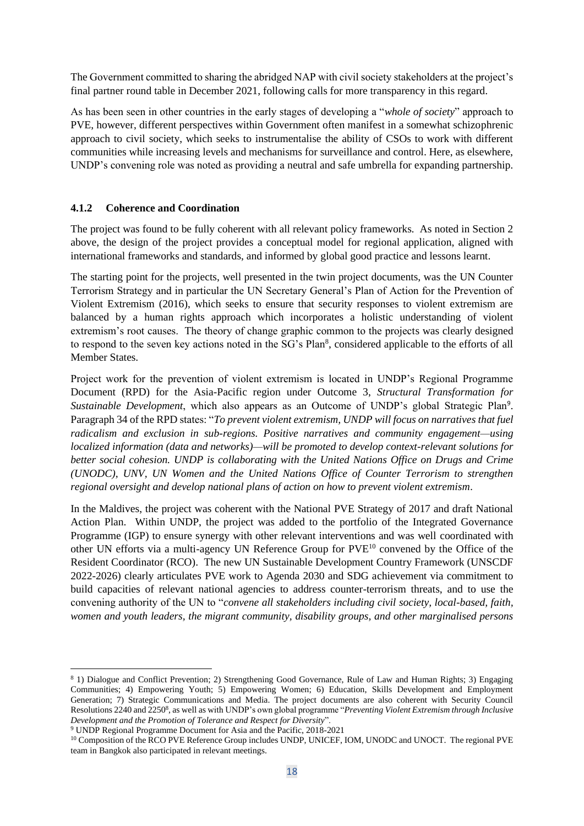The Government committed to sharing the abridged NAP with civil society stakeholders at the project's final partner round table in December 2021, following calls for more transparency in this regard.

As has been seen in other countries in the early stages of developing a "*whole of society*" approach to PVE, however, different perspectives within Government often manifest in a somewhat schizophrenic approach to civil society, which seeks to instrumentalise the ability of CSOs to work with different communities while increasing levels and mechanisms for surveillance and control. Here, as elsewhere, UNDP's convening role was noted as providing a neutral and safe umbrella for expanding partnership.

#### **4.1.2 Coherence and Coordination**

The project was found to be fully coherent with all relevant policy frameworks. As noted in Section 2 above, the design of the project provides a conceptual model for regional application, aligned with international frameworks and standards, and informed by global good practice and lessons learnt.

The starting point for the projects, well presented in the twin project documents, was the UN Counter Terrorism Strategy and in particular the UN Secretary General's Plan of Action for the Prevention of Violent Extremism (2016), which seeks to ensure that security responses to violent extremism are balanced by a human rights approach which incorporates a holistic understanding of violent extremism's root causes. The theory of change graphic common to the projects was clearly designed to respond to the seven key actions noted in the SG's Plan<sup>8</sup>, considered applicable to the efforts of all Member States.

Project work for the prevention of violent extremism is located in UNDP's Regional Programme Document (RPD) for the Asia-Pacific region under Outcome 3, *Structural Transformation for*  Sustainable Development, which also appears as an Outcome of UNDP's global Strategic Plan<sup>9</sup>. Paragraph 34 of the RPD states: "*To prevent violent extremism, UNDP will focus on narratives that fuel radicalism and exclusion in sub-regions. Positive narratives and community engagement—using localized information (data and networks)—will be promoted to develop context-relevant solutions for better social cohesion. UNDP is collaborating with the United Nations Office on Drugs and Crime (UNODC), UNV, UN Women and the United Nations Office of Counter Terrorism to strengthen regional oversight and develop national plans of action on how to prevent violent extremism*.

In the Maldives, the project was coherent with the National PVE Strategy of 2017 and draft National Action Plan. Within UNDP, the project was added to the portfolio of the Integrated Governance Programme (IGP) to ensure synergy with other relevant interventions and was well coordinated with other UN efforts via a multi-agency UN Reference Group for PVE<sup>10</sup> convened by the Office of the Resident Coordinator (RCO). The new UN Sustainable Development Country Framework (UNSCDF 2022-2026) clearly articulates PVE work to Agenda 2030 and SDG achievement via commitment to build capacities of relevant national agencies to address counter-terrorism threats, and to use the convening authority of the UN to "*convene all stakeholders including civil society, local-based, faith, women and youth leaders, the migrant community, disability groups, and other marginalised persons* 

<sup>8</sup> 1) Dialogue and Conflict Prevention; 2) Strengthening Good Governance, Rule of Law and Human Rights; 3) Engaging Communities; 4) Empowering Youth; 5) Empowering Women; 6) Education, Skills Development and Employment Generation; 7) Strategic Communications and Media. The project documents are also coherent with Security Council Resolutions 2240 and 2250<sup>8</sup>, as well as with UNDP's own global programme "Preventing Violent Extremism through Inclusive *Development and the Promotion of Tolerance and Respect for Diversity*".

<sup>9</sup> UNDP Regional Programme Document for Asia and the Pacific, 2018-2021

<sup>&</sup>lt;sup>10</sup> Composition of the RCO PVE Reference Group includes UNDP, UNICEF, IOM, UNODC and UNOCT. The regional PVE team in Bangkok also participated in relevant meetings.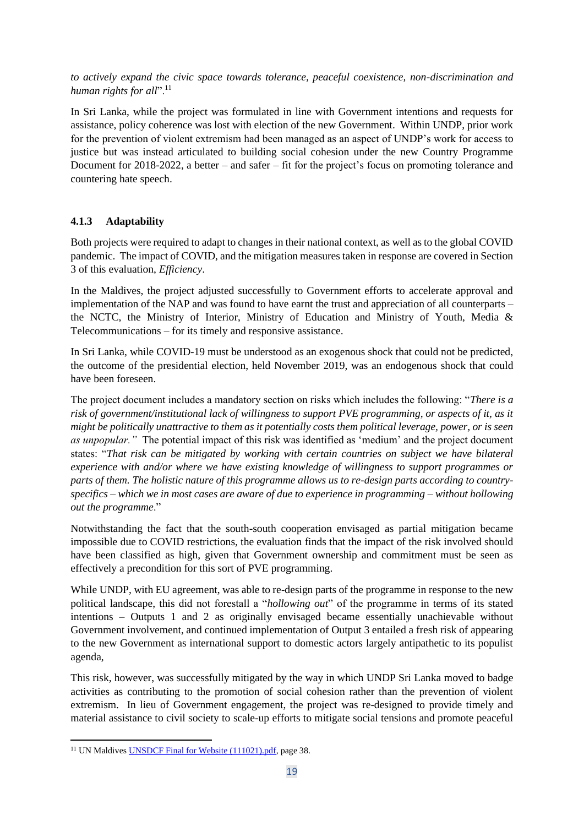*to actively expand the civic space towards tolerance, peaceful coexistence, non-discrimination and human rights for all*".<sup>11</sup>

In Sri Lanka, while the project was formulated in line with Government intentions and requests for assistance, policy coherence was lost with election of the new Government. Within UNDP, prior work for the prevention of violent extremism had been managed as an aspect of UNDP's work for access to justice but was instead articulated to building social cohesion under the new Country Programme Document for 2018-2022, a better – and safer – fit for the project's focus on promoting tolerance and countering hate speech.

#### **4.1.3 Adaptability**

Both projects were required to adapt to changes in their national context, as well as to the global COVID pandemic. The impact of COVID, and the mitigation measures taken in response are covered in Section 3 of this evaluation, *Efficiency*.

In the Maldives, the project adjusted successfully to Government efforts to accelerate approval and implementation of the NAP and was found to have earnt the trust and appreciation of all counterparts – the NCTC, the Ministry of Interior, Ministry of Education and Ministry of Youth, Media & Telecommunications – for its timely and responsive assistance.

In Sri Lanka, while COVID-19 must be understood as an exogenous shock that could not be predicted, the outcome of the presidential election, held November 2019, was an endogenous shock that could have been foreseen.

The project document includes a mandatory section on risks which includes the following: "*There is a risk of government/institutional lack of willingness to support PVE programming, or aspects of it, as it might be politically unattractive to them as it potentially costs them political leverage, power, or is seen as unpopular."* The potential impact of this risk was identified as 'medium' and the project document states: "*That risk can be mitigated by working with certain countries on subject we have bilateral experience with and/or where we have existing knowledge of willingness to support programmes or parts of them. The holistic nature of this programme allows us to re-design parts according to countryspecifics – which we in most cases are aware of due to experience in programming – without hollowing out the programme*."

Notwithstanding the fact that the south-south cooperation envisaged as partial mitigation became impossible due to COVID restrictions, the evaluation finds that the impact of the risk involved should have been classified as high, given that Government ownership and commitment must be seen as effectively a precondition for this sort of PVE programming.

While UNDP, with EU agreement, was able to re-design parts of the programme in response to the new political landscape, this did not forestall a "*hollowing out*" of the programme in terms of its stated intentions – Outputs 1 and 2 as originally envisaged became essentially unachievable without Government involvement, and continued implementation of Output 3 entailed a fresh risk of appearing to the new Government as international support to domestic actors largely antipathetic to its populist agenda,

This risk, however, was successfully mitigated by the way in which UNDP Sri Lanka moved to badge activities as contributing to the promotion of social cohesion rather than the prevention of violent extremism. In lieu of Government engagement, the project was re-designed to provide timely and material assistance to civil society to scale-up efforts to mitigate social tensions and promote peaceful

<sup>&</sup>lt;sup>11</sup> UN Maldives **UNSDCF Final for Website (111021).pdf**, page 38.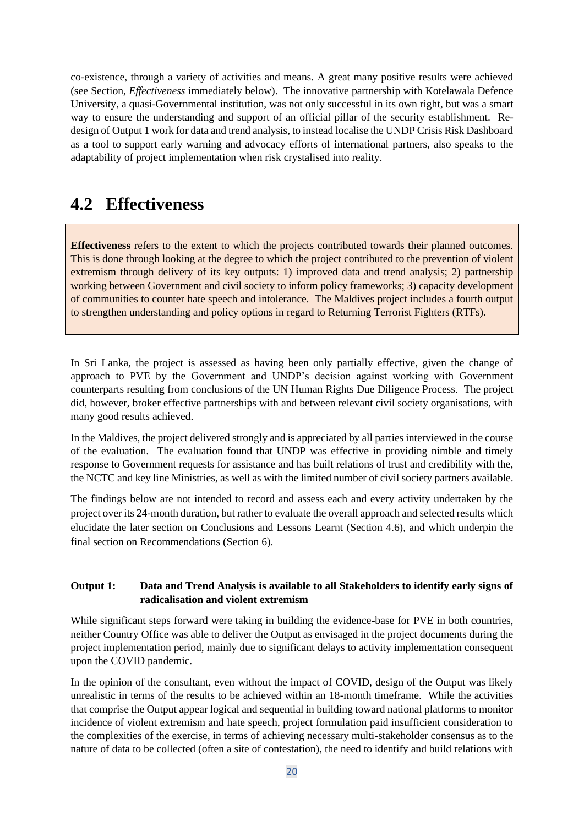co-existence, through a variety of activities and means. A great many positive results were achieved (see Section, *Effectiveness* immediately below). The innovative partnership with Kotelawala Defence University, a quasi-Governmental institution, was not only successful in its own right, but was a smart way to ensure the understanding and support of an official pillar of the security establishment. Redesign of Output 1 work for data and trend analysis, to instead localise the UNDP Crisis Risk Dashboard as a tool to support early warning and advocacy efforts of international partners, also speaks to the adaptability of project implementation when risk crystalised into reality.

### **4.2 Effectiveness**

**Effectiveness** refers to the extent to which the projects contributed towards their planned outcomes. This is done through looking at the degree to which the project contributed to the prevention of violent extremism through delivery of its key outputs: 1) improved data and trend analysis; 2) partnership working between Government and civil society to inform policy frameworks; 3) capacity development of communities to counter hate speech and intolerance. The Maldives project includes a fourth output to strengthen understanding and policy options in regard to Returning Terrorist Fighters (RTFs).

In Sri Lanka, the project is assessed as having been only partially effective, given the change of approach to PVE by the Government and UNDP's decision against working with Government counterparts resulting from conclusions of the UN Human Rights Due Diligence Process. The project did, however, broker effective partnerships with and between relevant civil society organisations, with many good results achieved.

In the Maldives, the project delivered strongly and is appreciated by all parties interviewed in the course of the evaluation. The evaluation found that UNDP was effective in providing nimble and timely response to Government requests for assistance and has built relations of trust and credibility with the, the NCTC and key line Ministries, as well as with the limited number of civil society partners available.

The findings below are not intended to record and assess each and every activity undertaken by the project over its 24-month duration, but rather to evaluate the overall approach and selected results which elucidate the later section on Conclusions and Lessons Learnt (Section 4.6), and which underpin the final section on Recommendations (Section 6).

#### **Output 1: Data and Trend Analysis is available to all Stakeholders to identify early signs of radicalisation and violent extremism**

While significant steps forward were taking in building the evidence-base for PVE in both countries, neither Country Office was able to deliver the Output as envisaged in the project documents during the project implementation period, mainly due to significant delays to activity implementation consequent upon the COVID pandemic.

In the opinion of the consultant, even without the impact of COVID, design of the Output was likely unrealistic in terms of the results to be achieved within an 18-month timeframe. While the activities that comprise the Output appear logical and sequential in building toward national platforms to monitor incidence of violent extremism and hate speech, project formulation paid insufficient consideration to the complexities of the exercise, in terms of achieving necessary multi-stakeholder consensus as to the nature of data to be collected (often a site of contestation), the need to identify and build relations with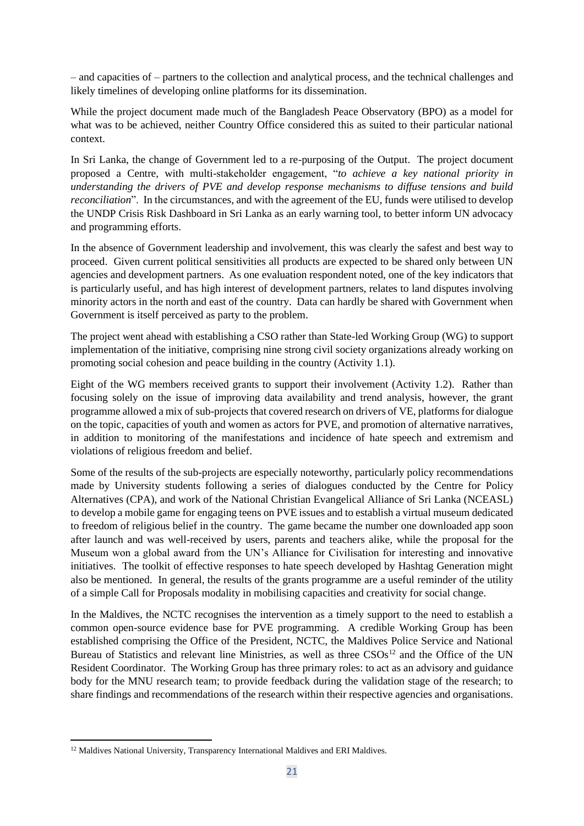– and capacities of – partners to the collection and analytical process, and the technical challenges and likely timelines of developing online platforms for its dissemination.

While the project document made much of the Bangladesh Peace Observatory (BPO) as a model for what was to be achieved, neither Country Office considered this as suited to their particular national context.

In Sri Lanka, the change of Government led to a re-purposing of the Output. The project document proposed a Centre, with multi-stakeholder engagement, "*to achieve a key national priority in understanding the drivers of PVE and develop response mechanisms to diffuse tensions and build reconciliation*". In the circumstances, and with the agreement of the EU, funds were utilised to develop the UNDP Crisis Risk Dashboard in Sri Lanka as an early warning tool, to better inform UN advocacy and programming efforts.

In the absence of Government leadership and involvement, this was clearly the safest and best way to proceed. Given current political sensitivities all products are expected to be shared only between UN agencies and development partners. As one evaluation respondent noted, one of the key indicators that is particularly useful, and has high interest of development partners, relates to land disputes involving minority actors in the north and east of the country. Data can hardly be shared with Government when Government is itself perceived as party to the problem.

The project went ahead with establishing a CSO rather than State-led Working Group (WG) to support implementation of the initiative, comprising nine strong civil society organizations already working on promoting social cohesion and peace building in the country (Activity 1.1).

Eight of the WG members received grants to support their involvement (Activity 1.2). Rather than focusing solely on the issue of improving data availability and trend analysis, however, the grant programme allowed a mix of sub-projects that covered research on drivers of VE, platforms for dialogue on the topic, capacities of youth and women as actors for PVE, and promotion of alternative narratives, in addition to monitoring of the manifestations and incidence of hate speech and extremism and violations of religious freedom and belief.

Some of the results of the sub-projects are especially noteworthy, particularly policy recommendations made by University students following a series of dialogues conducted by the Centre for Policy Alternatives (CPA), and work of the National Christian Evangelical Alliance of Sri Lanka (NCEASL) to develop a mobile game for engaging teens on PVE issues and to establish a virtual museum dedicated to freedom of religious belief in the country. The game became the number one downloaded app soon after launch and was well-received by users, parents and teachers alike, while the proposal for the Museum won a global award from the UN's Alliance for Civilisation for interesting and innovative initiatives. The toolkit of effective responses to hate speech developed by Hashtag Generation might also be mentioned. In general, the results of the grants programme are a useful reminder of the utility of a simple Call for Proposals modality in mobilising capacities and creativity for social change.

In the Maldives, the NCTC recognises the intervention as a timely support to the need to establish a common open-source evidence base for PVE programming. A credible Working Group has been established comprising the Office of the President, NCTC, the Maldives Police Service and National Bureau of Statistics and relevant line Ministries, as well as three  $CSOs<sup>12</sup>$  and the Office of the UN Resident Coordinator. The Working Group has three primary roles: to act as an advisory and guidance body for the MNU research team; to provide feedback during the validation stage of the research; to share findings and recommendations of the research within their respective agencies and organisations.

<sup>&</sup>lt;sup>12</sup> Maldives National University, Transparency International Maldives and ERI Maldives.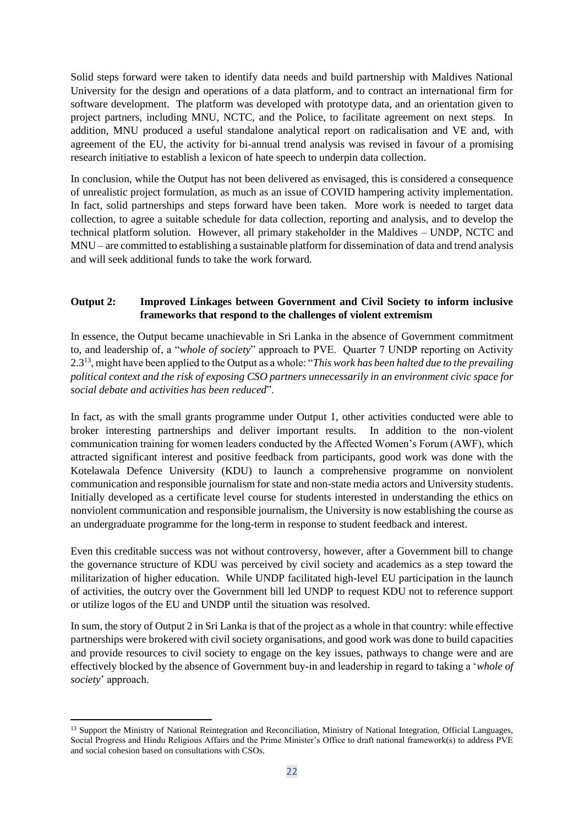Solid steps forward were taken to identify data needs and build partnership with Maldives National University for the design and operations of a data platform, and to contract an international firm for software development. The platform was developed with prototype data, and an orientation given to project partners, including MNU, NCTC, and the Police, to facilitate agreement on next steps. In addition, MNU produced a useful standalone analytical report on radicalisation and VE and, with agreement of the EU, the activity for bi-annual trend analysis was revised in favour of a promising research initiative to establish a lexicon of hate speech to underpin data collection.

In conclusion, while the Output has not been delivered as envisaged, this is considered a consequence of unrealistic project formulation, as much as an issue of COVID hampering activity implementation. In fact, solid partnerships and steps forward have been taken. More work is needed to target data collection, to agree a suitable schedule for data collection, reporting and analysis, and to develop the technical platform solution. However, all primary stakeholder in the Maldives – UNDP, NCTC and MNU – are committed to establishing a sustainable platform for dissemination of data and trend analysis and will seek additional funds to take the work forward.

#### **Output 2: Improved Linkages between Government and Civil Society to inform inclusive frameworks that respond to the challenges of violent extremism**

In essence, the Output became unachievable in Sri Lanka in the absence of Government commitment to, and leadership of, a "*whole of society*" approach to PVE. Quarter 7 UNDP reporting on Activity 2.3<sup>13</sup>, might have been applied to the Output as a whole: "*This work has been halted due to the prevailing political context and the risk of exposing CSO partners unnecessarily in an environment civic space for social debate and activities has been reduced*".

In fact, as with the small grants programme under Output 1, other activities conducted were able to broker interesting partnerships and deliver important results. In addition to the non-violent communication training for women leaders conducted by the Affected Women's Forum (AWF), which attracted significant interest and positive feedback from participants, good work was done with the Kotelawala Defence University (KDU) to launch a comprehensive programme on nonviolent communication and responsible journalism for state and non-state media actors and University students. Initially developed as a certificate level course for students interested in understanding the ethics on nonviolent communication and responsible journalism, the University is now establishing the course as an undergraduate programme for the long-term in response to student feedback and interest.

Even this creditable success was not without controversy, however, after a Government bill to change the governance structure of KDU was perceived by civil society and academics as a step toward the militarization of higher education. While UNDP facilitated high-level EU participation in the launch of activities, the outcry over the Government bill led UNDP to request KDU not to reference support or utilize logos of the EU and UNDP until the situation was resolved.

In sum, the story of Output 2 in Sri Lanka is that of the project as a whole in that country: while effective partnerships were brokered with civil society organisations, and good work was done to build capacities and provide resources to civil society to engage on the key issues, pathways to change were and are effectively blocked by the absence of Government buy-in and leadership in regard to taking a '*whole of society*' approach.

<sup>&</sup>lt;sup>13</sup> Support the Ministry of National Reintegration and Reconciliation, Ministry of National Integration, Official Languages, Social Progress and Hindu Religious Affairs and the Prime Minister's Office to draft national framework(s) to address PVE and social cohesion based on consultations with CSOs.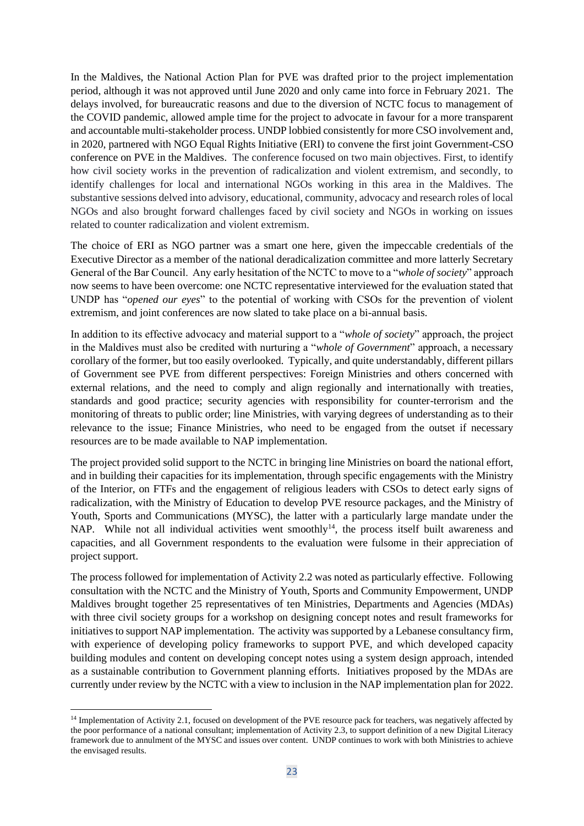In the Maldives, the National Action Plan for PVE was drafted prior to the project implementation period, although it was not approved until June 2020 and only came into force in February 2021. The delays involved, for bureaucratic reasons and due to the diversion of NCTC focus to management of the COVID pandemic, allowed ample time for the project to advocate in favour for a more transparent and accountable multi-stakeholder process. UNDP lobbied consistently for more CSO involvement and, in 2020, partnered with NGO Equal Rights Initiative (ERI) to convene the first joint Government-CSO conference on PVE in the Maldives. The conference focused on two main objectives. First, to identify how civil society works in the prevention of radicalization and violent extremism, and secondly, to identify challenges for local and international NGOs working in this area in the Maldives. The substantive sessions delved into advisory, educational, community, advocacy and research roles of local NGOs and also brought forward challenges faced by civil society and NGOs in working on issues related to counter radicalization and violent extremism.

The choice of ERI as NGO partner was a smart one here, given the impeccable credentials of the Executive Director as a member of the national deradicalization committee and more latterly Secretary General of the Bar Council. Any early hesitation of the NCTC to move to a "*whole of society*" approach now seems to have been overcome: one NCTC representative interviewed for the evaluation stated that UNDP has "*opened our eyes*" to the potential of working with CSOs for the prevention of violent extremism, and joint conferences are now slated to take place on a bi-annual basis.

In addition to its effective advocacy and material support to a "*whole of society*" approach, the project in the Maldives must also be credited with nurturing a "*whole of Government*" approach, a necessary corollary of the former, but too easily overlooked. Typically, and quite understandably, different pillars of Government see PVE from different perspectives: Foreign Ministries and others concerned with external relations, and the need to comply and align regionally and internationally with treaties, standards and good practice; security agencies with responsibility for counter-terrorism and the monitoring of threats to public order; line Ministries, with varying degrees of understanding as to their relevance to the issue; Finance Ministries, who need to be engaged from the outset if necessary resources are to be made available to NAP implementation.

The project provided solid support to the NCTC in bringing line Ministries on board the national effort, and in building their capacities for its implementation, through specific engagements with the Ministry of the Interior, on FTFs and the engagement of religious leaders with CSOs to detect early signs of radicalization, with the Ministry of Education to develop PVE resource packages, and the Ministry of Youth, Sports and Communications (MYSC), the latter with a particularly large mandate under the NAP. While not all individual activities went smoothly<sup>14</sup>, the process itself built awareness and capacities, and all Government respondents to the evaluation were fulsome in their appreciation of project support.

The process followed for implementation of Activity 2.2 was noted as particularly effective. Following consultation with the NCTC and the Ministry of Youth, Sports and Community Empowerment, UNDP Maldives brought together 25 representatives of ten Ministries, Departments and Agencies (MDAs) with three civil society groups for a workshop on designing concept notes and result frameworks for initiatives to support NAP implementation. The activity was supported by a Lebanese consultancy firm, with experience of developing policy frameworks to support PVE, and which developed capacity building modules and content on developing concept notes using a system design approach, intended as a sustainable contribution to Government planning efforts. Initiatives proposed by the MDAs are currently under review by the NCTC with a view to inclusion in the NAP implementation plan for 2022.

<sup>&</sup>lt;sup>14</sup> Implementation of Activity 2.1, focused on development of the PVE resource pack for teachers, was negatively affected by the poor performance of a national consultant; implementation of Activity 2.3, to support definition of a new Digital Literacy framework due to annulment of the MYSC and issues over content. UNDP continues to work with both Ministries to achieve the envisaged results.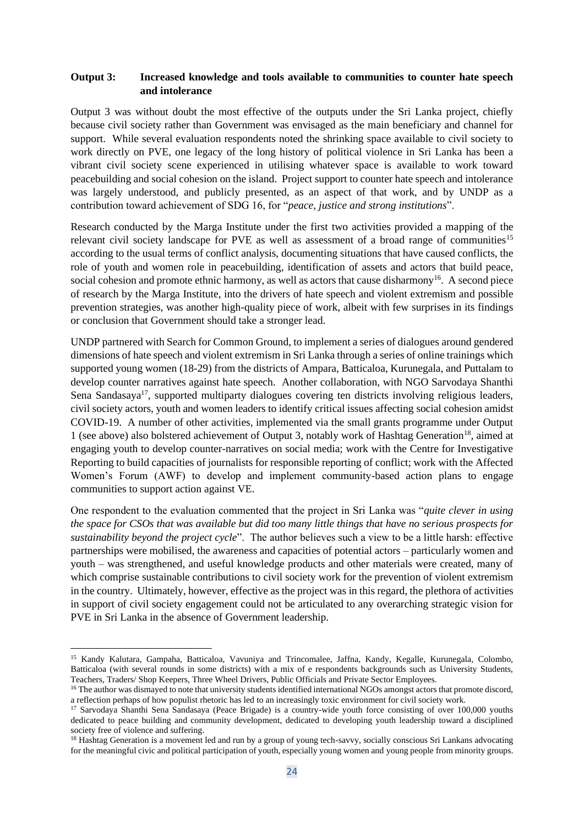#### **Output 3: Increased knowledge and tools available to communities to counter hate speech and intolerance**

Output 3 was without doubt the most effective of the outputs under the Sri Lanka project, chiefly because civil society rather than Government was envisaged as the main beneficiary and channel for support. While several evaluation respondents noted the shrinking space available to civil society to work directly on PVE, one legacy of the long history of political violence in Sri Lanka has been a vibrant civil society scene experienced in utilising whatever space is available to work toward peacebuilding and social cohesion on the island. Project support to counter hate speech and intolerance was largely understood, and publicly presented, as an aspect of that work, and by UNDP as a contribution toward achievement of SDG 16, for "*peace, justice and strong institutions*".

Research conducted by the Marga Institute under the first two activities provided a mapping of the relevant civil society landscape for PVE as well as assessment of a broad range of communities<sup>15</sup> according to the usual terms of conflict analysis, documenting situations that have caused conflicts, the role of youth and women role in peacebuilding, identification of assets and actors that build peace, social cohesion and promote ethnic harmony, as well as actors that cause disharmony<sup>16</sup>. A second piece of research by the Marga Institute, into the drivers of hate speech and violent extremism and possible prevention strategies, was another high-quality piece of work, albeit with few surprises in its findings or conclusion that Government should take a stronger lead.

UNDP partnered with Search for Common Ground, to implement a series of dialogues around gendered dimensions of hate speech and violent extremism in Sri Lanka through a series of online trainings which supported young women (18-29) from the districts of Ampara, Batticaloa, Kurunegala, and Puttalam to develop counter narratives against hate speech. Another collaboration, with NGO Sarvodaya Shanthi Sena Sandasaya<sup>17</sup>, supported multiparty dialogues covering ten districts involving religious leaders, civil society actors, youth and women leaders to identify critical issues affecting social cohesion amidst COVID-19. A number of other activities, implemented via the small grants programme under Output 1 (see above) also bolstered achievement of Output 3, notably work of Hashtag Generation<sup>18</sup>, aimed at engaging youth to develop counter-narratives on social media; work with the Centre for Investigative Reporting to build capacities of journalists for responsible reporting of conflict; work with the Affected Women's Forum (AWF) to develop and implement community-based action plans to engage communities to support action against VE.

One respondent to the evaluation commented that the project in Sri Lanka was "*quite clever in using the space for CSOs that was available but did too many little things that have no serious prospects for sustainability beyond the project cycle*". The author believes such a view to be a little harsh: effective partnerships were mobilised, the awareness and capacities of potential actors – particularly women and youth – was strengthened, and useful knowledge products and other materials were created, many of which comprise sustainable contributions to civil society work for the prevention of violent extremism in the country. Ultimately, however, effective as the project was in this regard, the plethora of activities in support of civil society engagement could not be articulated to any overarching strategic vision for PVE in Sri Lanka in the absence of Government leadership.

<sup>15</sup> Kandy Kalutara, Gampaha, Batticaloa, Vavuniya and Trincomalee, Jaffna, Kandy, Kegalle, Kurunegala, Colombo, Batticaloa (with several rounds in some districts) with a mix of e respondents backgrounds such as University Students, Teachers, Traders/ Shop Keepers, Three Wheel Drivers, Public Officials and Private Sector Employees.

<sup>&</sup>lt;sup>16</sup> The author was dismayed to note that university students identified international NGOs amongst actors that promote discord, a reflection perhaps of how populist rhetoric has led to an increasingly toxic environment for civil society work.

<sup>&</sup>lt;sup>17</sup> Sarvodaya Shanthi Sena Sandasaya (Peace Brigade) is a country-wide youth force consisting of over 100,000 youths dedicated to peace building and community development, dedicated to developing youth leadership toward a disciplined society free of violence and suffering.

<sup>&</sup>lt;sup>18</sup> Hashtag Generation is a movement led and run by a group of young tech-savvy, socially conscious Sri Lankans advocating for the meaningful civic and political participation of youth, especially young women and young people from minority groups.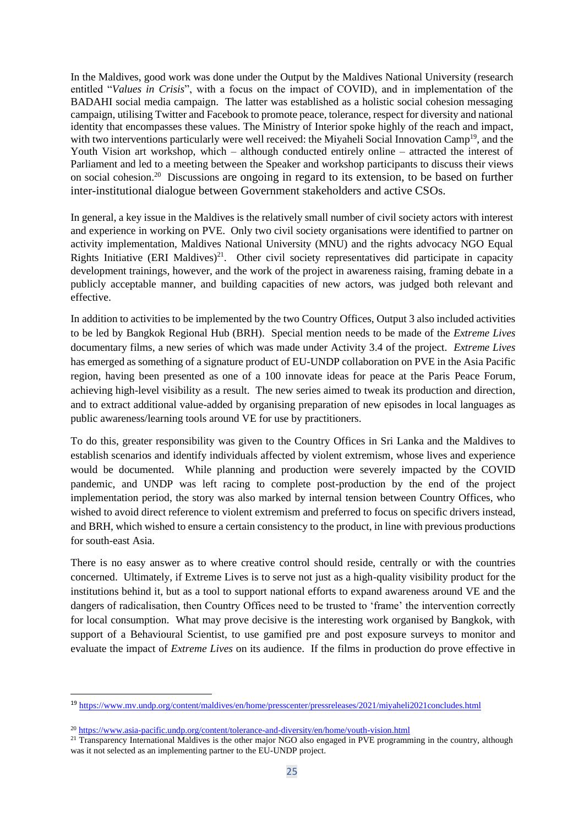In the Maldives, good work was done under the Output by the Maldives National University (research entitled "*Values in Crisis*", with a focus on the impact of COVID), and in implementation of the BADAHI social media campaign. The latter was established as a holistic social cohesion messaging campaign, utilising Twitter and Facebook to promote peace, tolerance, respect for diversity and national identity that encompasses these values. The Ministry of Interior spoke highly of the reach and impact, with two interventions particularly were well received: the Miyaheli Social Innovation Camp<sup>19</sup>, and the Youth Vision art workshop, which – although conducted entirely online – attracted the interest of Parliament and led to a meeting between the Speaker and workshop participants to discuss their views on social cohesion. <sup>20</sup> Discussions are ongoing in regard to its extension, to be based on further inter-institutional dialogue between Government stakeholders and active CSOs.

In general, a key issue in the Maldives is the relatively small number of civil society actors with interest and experience in working on PVE. Only two civil society organisations were identified to partner on activity implementation, Maldives National University (MNU) and the rights advocacy NGO Equal Rights Initiative (ERI Maldives)<sup>21</sup>. Other civil society representatives did participate in capacity development trainings, however, and the work of the project in awareness raising, framing debate in a publicly acceptable manner, and building capacities of new actors, was judged both relevant and effective.

In addition to activities to be implemented by the two Country Offices, Output 3 also included activities to be led by Bangkok Regional Hub (BRH). Special mention needs to be made of the *Extreme Lives* documentary films, a new series of which was made under Activity 3.4 of the project. *Extreme Lives* has emerged as something of a signature product of EU-UNDP collaboration on PVE in the Asia Pacific region, having been presented as one of a 100 innovate ideas for peace at the Paris Peace Forum, achieving high-level visibility as a result. The new series aimed to tweak its production and direction, and to extract additional value-added by organising preparation of new episodes in local languages as public awareness/learning tools around VE for use by practitioners.

To do this, greater responsibility was given to the Country Offices in Sri Lanka and the Maldives to establish scenarios and identify individuals affected by violent extremism, whose lives and experience would be documented. While planning and production were severely impacted by the COVID pandemic, and UNDP was left racing to complete post-production by the end of the project implementation period, the story was also marked by internal tension between Country Offices, who wished to avoid direct reference to violent extremism and preferred to focus on specific drivers instead, and BRH, which wished to ensure a certain consistency to the product, in line with previous productions for south-east Asia.

There is no easy answer as to where creative control should reside, centrally or with the countries concerned. Ultimately, if Extreme Lives is to serve not just as a high-quality visibility product for the institutions behind it, but as a tool to support national efforts to expand awareness around VE and the dangers of radicalisation, then Country Offices need to be trusted to 'frame' the intervention correctly for local consumption. What may prove decisive is the interesting work organised by Bangkok, with support of a Behavioural Scientist, to use gamified pre and post exposure surveys to monitor and evaluate the impact of *Extreme Lives* on its audience. If the films in production do prove effective in

<sup>19</sup> <https://www.mv.undp.org/content/maldives/en/home/presscenter/pressreleases/2021/miyaheli2021concludes.html>

<sup>20</sup> <https://www.asia-pacific.undp.org/content/tolerance-and-diversity/en/home/youth-vision.html>

<sup>&</sup>lt;sup>21</sup> Transparency International Maldives is the other major NGO also engaged in PVE programming in the country, although was it not selected as an implementing partner to the EU-UNDP project.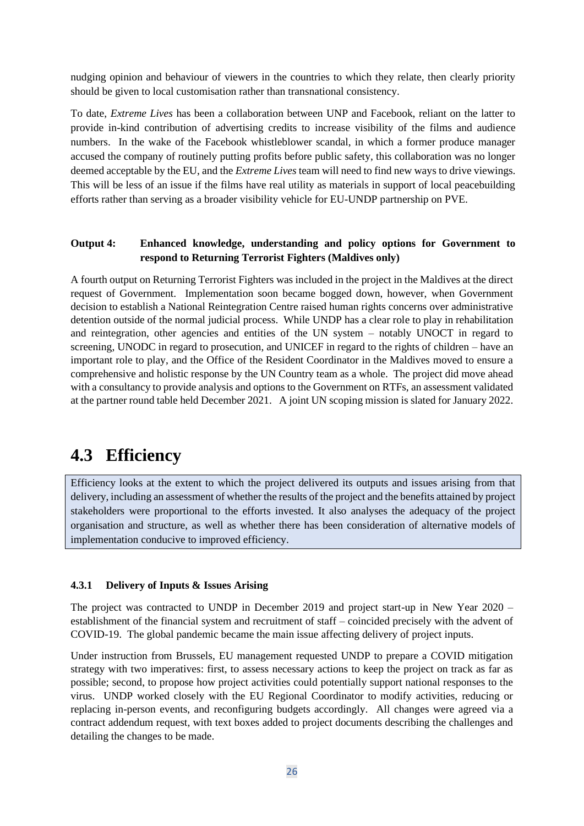nudging opinion and behaviour of viewers in the countries to which they relate, then clearly priority should be given to local customisation rather than transnational consistency.

To date, *Extreme Lives* has been a collaboration between UNP and Facebook, reliant on the latter to provide in-kind contribution of advertising credits to increase visibility of the films and audience numbers. In the wake of the Facebook whistleblower scandal, in which a former produce manager accused the company of routinely putting profits before public safety, this collaboration was no longer deemed acceptable by the EU, and the *Extreme Lives* team will need to find new ways to drive viewings. This will be less of an issue if the films have real utility as materials in support of local peacebuilding efforts rather than serving as a broader visibility vehicle for EU-UNDP partnership on PVE.

#### **Output 4: Enhanced knowledge, understanding and policy options for Government to respond to Returning Terrorist Fighters (Maldives only)**

A fourth output on Returning Terrorist Fighters was included in the project in the Maldives at the direct request of Government. Implementation soon became bogged down, however, when Government decision to establish a National Reintegration Centre raised human rights concerns over administrative detention outside of the normal judicial process. While UNDP has a clear role to play in rehabilitation and reintegration, other agencies and entities of the UN system – notably UNOCT in regard to screening, UNODC in regard to prosecution, and UNICEF in regard to the rights of children – have an important role to play, and the Office of the Resident Coordinator in the Maldives moved to ensure a comprehensive and holistic response by the UN Country team as a whole. The project did move ahead with a consultancy to provide analysis and options to the Government on RTFs, an assessment validated at the partner round table held December 2021. A joint UN scoping mission is slated for January 2022.

### **4.3 Efficiency**

Efficiency looks at the extent to which the project delivered its outputs and issues arising from that delivery, including an assessment of whether the results of the project and the benefits attained by project stakeholders were proportional to the efforts invested. It also analyses the adequacy of the project organisation and structure, as well as whether there has been consideration of alternative models of implementation conducive to improved efficiency.

#### **4.3.1 Delivery of Inputs & Issues Arising**

The project was contracted to UNDP in December 2019 and project start-up in New Year 2020 – establishment of the financial system and recruitment of staff – coincided precisely with the advent of COVID-19. The global pandemic became the main issue affecting delivery of project inputs.

Under instruction from Brussels, EU management requested UNDP to prepare a COVID mitigation strategy with two imperatives: first, to assess necessary actions to keep the project on track as far as possible; second, to propose how project activities could potentially support national responses to the virus. UNDP worked closely with the EU Regional Coordinator to modify activities, reducing or replacing in-person events, and reconfiguring budgets accordingly. All changes were agreed via a contract addendum request, with text boxes added to project documents describing the challenges and detailing the changes to be made.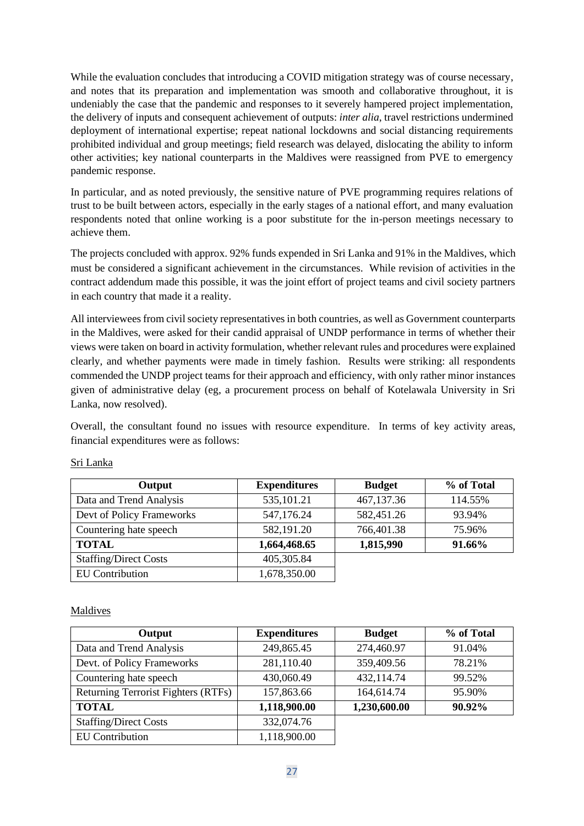While the evaluation concludes that introducing a COVID mitigation strategy was of course necessary, and notes that its preparation and implementation was smooth and collaborative throughout, it is undeniably the case that the pandemic and responses to it severely hampered project implementation, the delivery of inputs and consequent achievement of outputs: *inter alia*, travel restrictions undermined deployment of international expertise; repeat national lockdowns and social distancing requirements prohibited individual and group meetings; field research was delayed, dislocating the ability to inform other activities; key national counterparts in the Maldives were reassigned from PVE to emergency pandemic response.

In particular, and as noted previously, the sensitive nature of PVE programming requires relations of trust to be built between actors, especially in the early stages of a national effort, and many evaluation respondents noted that online working is a poor substitute for the in-person meetings necessary to achieve them.

The projects concluded with approx. 92% funds expended in Sri Lanka and 91% in the Maldives, which must be considered a significant achievement in the circumstances. While revision of activities in the contract addendum made this possible, it was the joint effort of project teams and civil society partners in each country that made it a reality.

All interviewees from civil society representatives in both countries, as well as Government counterparts in the Maldives, were asked for their candid appraisal of UNDP performance in terms of whether their views were taken on board in activity formulation, whether relevant rules and procedures were explained clearly, and whether payments were made in timely fashion. Results were striking: all respondents commended the UNDP project teams for their approach and efficiency, with only rather minor instances given of administrative delay (eg, a procurement process on behalf of Kotelawala University in Sri Lanka, now resolved).

Overall, the consultant found no issues with resource expenditure. In terms of key activity areas, financial expenditures were as follows:

| Output                       | <b>Expenditures</b> | <b>Budget</b> | % of Total |
|------------------------------|---------------------|---------------|------------|
| Data and Trend Analysis      | 535,101.21          | 467,137.36    | 114.55%    |
| Devt of Policy Frameworks    | 547,176.24          | 582,451.26    | 93.94%     |
| Countering hate speech       | 582,191.20          | 766,401.38    | 75.96%     |
| <b>TOTAL</b>                 | 1,664,468.65        | 1,815,990     | 91.66%     |
| <b>Staffing/Direct Costs</b> | 405,305.84          |               |            |
| <b>EU</b> Contribution       | 1,678,350.00        |               |            |

#### Sri Lanka

#### Maldives

| Output                              | <b>Expenditures</b> | <b>Budget</b> | % of Total |
|-------------------------------------|---------------------|---------------|------------|
| Data and Trend Analysis             | 249,865.45          | 274,460.97    | 91.04%     |
| Devt. of Policy Frameworks          | 281,110.40          | 359,409.56    | 78.21%     |
| Countering hate speech              | 430,060.49          | 432,114.74    | 99.52%     |
| Returning Terrorist Fighters (RTFs) | 157,863.66          | 164,614.74    | 95.90%     |
| <b>TOTAL</b>                        | 1,118,900.00        | 1,230,600.00  | 90.92%     |
| <b>Staffing/Direct Costs</b>        | 332,074.76          |               |            |
| <b>EU</b> Contribution              | 1,118,900.00        |               |            |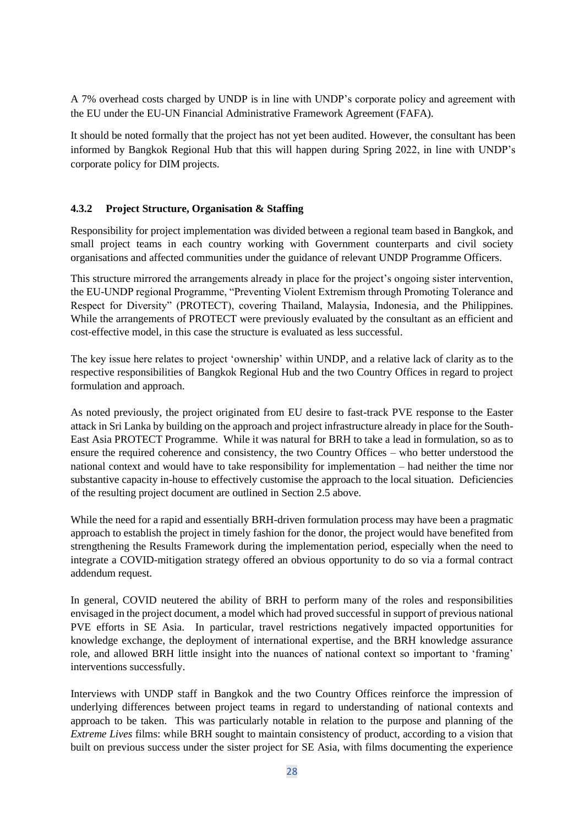A 7% overhead costs charged by UNDP is in line with UNDP's corporate policy and agreement with the EU under the EU-UN Financial Administrative Framework Agreement (FAFA).

It should be noted formally that the project has not yet been audited. However, the consultant has been informed by Bangkok Regional Hub that this will happen during Spring 2022, in line with UNDP's corporate policy for DIM projects.

#### **4.3.2 Project Structure, Organisation & Staffing**

Responsibility for project implementation was divided between a regional team based in Bangkok, and small project teams in each country working with Government counterparts and civil society organisations and affected communities under the guidance of relevant UNDP Programme Officers.

This structure mirrored the arrangements already in place for the project's ongoing sister intervention, the EU-UNDP regional Programme, "Preventing Violent Extremism through Promoting Tolerance and Respect for Diversity" (PROTECT), covering Thailand, Malaysia, Indonesia, and the Philippines. While the arrangements of PROTECT were previously evaluated by the consultant as an efficient and cost-effective model, in this case the structure is evaluated as less successful.

The key issue here relates to project 'ownership' within UNDP, and a relative lack of clarity as to the respective responsibilities of Bangkok Regional Hub and the two Country Offices in regard to project formulation and approach.

As noted previously, the project originated from EU desire to fast-track PVE response to the Easter attack in Sri Lanka by building on the approach and project infrastructure already in place for the South-East Asia PROTECT Programme. While it was natural for BRH to take a lead in formulation, so as to ensure the required coherence and consistency, the two Country Offices – who better understood the national context and would have to take responsibility for implementation – had neither the time nor substantive capacity in-house to effectively customise the approach to the local situation. Deficiencies of the resulting project document are outlined in Section 2.5 above.

While the need for a rapid and essentially BRH-driven formulation process may have been a pragmatic approach to establish the project in timely fashion for the donor, the project would have benefited from strengthening the Results Framework during the implementation period, especially when the need to integrate a COVID-mitigation strategy offered an obvious opportunity to do so via a formal contract addendum request.

In general, COVID neutered the ability of BRH to perform many of the roles and responsibilities envisaged in the project document, a model which had proved successful in support of previous national PVE efforts in SE Asia. In particular, travel restrictions negatively impacted opportunities for knowledge exchange, the deployment of international expertise, and the BRH knowledge assurance role, and allowed BRH little insight into the nuances of national context so important to 'framing' interventions successfully.

Interviews with UNDP staff in Bangkok and the two Country Offices reinforce the impression of underlying differences between project teams in regard to understanding of national contexts and approach to be taken. This was particularly notable in relation to the purpose and planning of the *Extreme Lives* films: while BRH sought to maintain consistency of product, according to a vision that built on previous success under the sister project for SE Asia, with films documenting the experience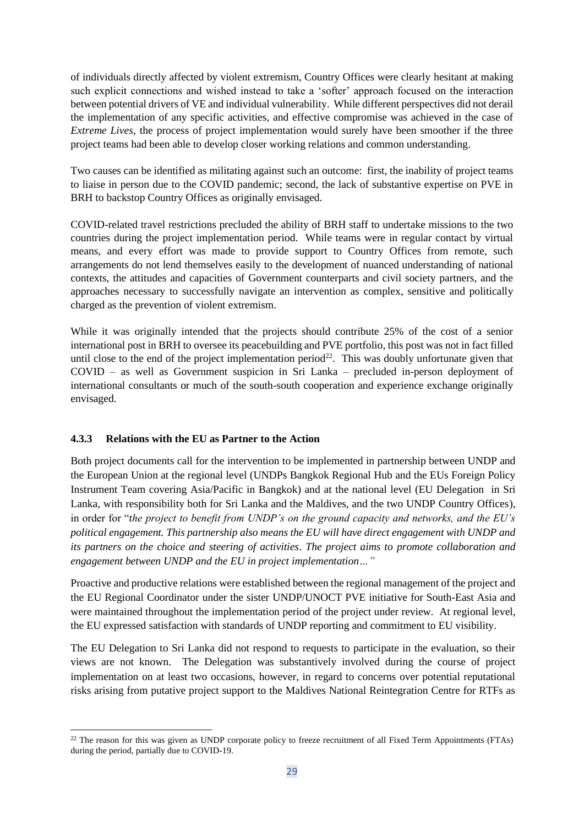of individuals directly affected by violent extremism, Country Offices were clearly hesitant at making such explicit connections and wished instead to take a 'softer' approach focused on the interaction between potential drivers of VE and individual vulnerability. While different perspectives did not derail the implementation of any specific activities, and effective compromise was achieved in the case of *Extreme Lives*, the process of project implementation would surely have been smoother if the three project teams had been able to develop closer working relations and common understanding.

Two causes can be identified as militating against such an outcome: first, the inability of project teams to liaise in person due to the COVID pandemic; second, the lack of substantive expertise on PVE in BRH to backstop Country Offices as originally envisaged.

COVID-related travel restrictions precluded the ability of BRH staff to undertake missions to the two countries during the project implementation period. While teams were in regular contact by virtual means, and every effort was made to provide support to Country Offices from remote, such arrangements do not lend themselves easily to the development of nuanced understanding of national contexts, the attitudes and capacities of Government counterparts and civil society partners, and the approaches necessary to successfully navigate an intervention as complex, sensitive and politically charged as the prevention of violent extremism.

While it was originally intended that the projects should contribute 25% of the cost of a senior international post in BRH to oversee its peacebuilding and PVE portfolio, this post was not in fact filled until close to the end of the project implementation period<sup>22</sup>. This was doubly unfortunate given that COVID – as well as Government suspicion in Sri Lanka – precluded in-person deployment of international consultants or much of the south-south cooperation and experience exchange originally envisaged.

#### **4.3.3 Relations with the EU as Partner to the Action**

Both project documents call for the intervention to be implemented in partnership between UNDP and the European Union at the regional level (UNDPs Bangkok Regional Hub and the EUs Foreign Policy Instrument Team covering Asia/Pacific in Bangkok) and at the national level (EU Delegation in Sri Lanka, with responsibility both for Sri Lanka and the Maldives, and the two UNDP Country Offices), in order for "*the project to benefit from UNDP's on the ground capacity and networks, and the EU's political engagement. This partnership also means the EU will have direct engagement with UNDP and its partners on the choice and steering of activities*. *The project aims to promote collaboration and engagement between UNDP and the EU in project implementation…"*

Proactive and productive relations were established between the regional management of the project and the EU Regional Coordinator under the sister UNDP/UNOCT PVE initiative for South-East Asia and were maintained throughout the implementation period of the project under review. At regional level, the EU expressed satisfaction with standards of UNDP reporting and commitment to EU visibility.

The EU Delegation to Sri Lanka did not respond to requests to participate in the evaluation, so their views are not known. The Delegation was substantively involved during the course of project implementation on at least two occasions, however, in regard to concerns over potential reputational risks arising from putative project support to the Maldives National Reintegration Centre for RTFs as

<sup>&</sup>lt;sup>22</sup> The reason for this was given as UNDP corporate policy to freeze recruitment of all Fixed Term Appointments (FTAs) during the period, partially due to COVID-19.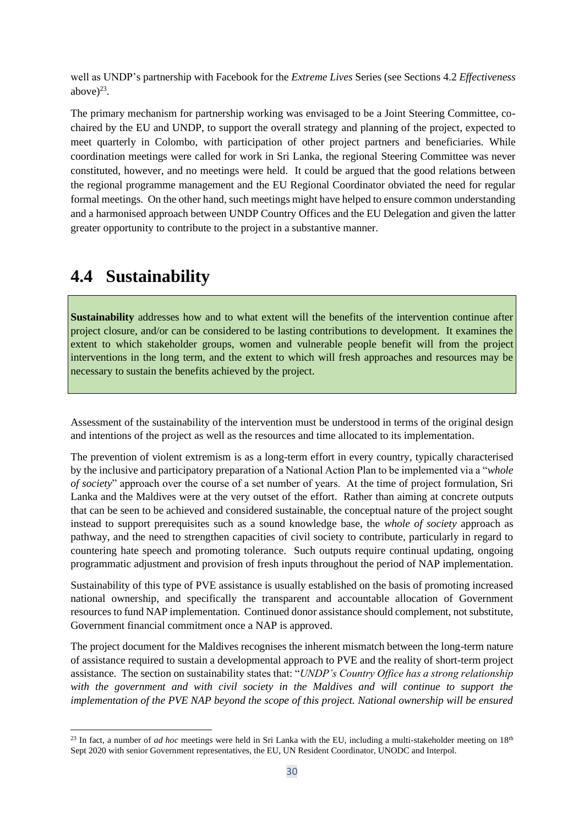well as UNDP's partnership with Facebook for the *Extreme Lives* Series (see Sections 4.2 *Effectiveness*  above $)^{23}$ .

The primary mechanism for partnership working was envisaged to be a Joint Steering Committee, cochaired by the EU and UNDP, to support the overall strategy and planning of the project, expected to meet quarterly in Colombo, with participation of other project partners and beneficiaries. While coordination meetings were called for work in Sri Lanka, the regional Steering Committee was never constituted, however, and no meetings were held. It could be argued that the good relations between the regional programme management and the EU Regional Coordinator obviated the need for regular formal meetings. On the other hand, such meetings might have helped to ensure common understanding and a harmonised approach between UNDP Country Offices and the EU Delegation and given the latter greater opportunity to contribute to the project in a substantive manner.

### **4.4 Sustainability**

**Sustainability** addresses how and to what extent will the benefits of the intervention continue after project closure, and/or can be considered to be lasting contributions to development. It examines the extent to which stakeholder groups, women and vulnerable people benefit will from the project interventions in the long term, and the extent to which will fresh approaches and resources may be necessary to sustain the benefits achieved by the project.

Assessment of the sustainability of the intervention must be understood in terms of the original design and intentions of the project as well as the resources and time allocated to its implementation.

The prevention of violent extremism is as a long-term effort in every country, typically characterised by the inclusive and participatory preparation of a National Action Plan to be implemented via a "*whole of society*" approach over the course of a set number of years. At the time of project formulation, Sri Lanka and the Maldives were at the very outset of the effort. Rather than aiming at concrete outputs that can be seen to be achieved and considered sustainable, the conceptual nature of the project sought instead to support prerequisites such as a sound knowledge base, the *whole of society* approach as pathway, and the need to strengthen capacities of civil society to contribute, particularly in regard to countering hate speech and promoting tolerance. Such outputs require continual updating, ongoing programmatic adjustment and provision of fresh inputs throughout the period of NAP implementation.

Sustainability of this type of PVE assistance is usually established on the basis of promoting increased national ownership, and specifically the transparent and accountable allocation of Government resources to fund NAP implementation. Continued donor assistance should complement, not substitute, Government financial commitment once a NAP is approved.

The project document for the Maldives recognises the inherent mismatch between the long-term nature of assistance required to sustain a developmental approach to PVE and the reality of short-term project assistance. The section on sustainability states that: "*UNDP's Country Office has a strong relationship*  with the government and with civil society in the Maldives and will continue to support the *implementation of the PVE NAP beyond the scope of this project. National ownership will be ensured* 

<sup>&</sup>lt;sup>23</sup> In fact, a number of *ad hoc* meetings were held in Sri Lanka with the EU, including a multi-stakeholder meeting on  $18<sup>th</sup>$ Sept 2020 with senior Government representatives, the EU, UN Resident Coordinator, UNODC and Interpol.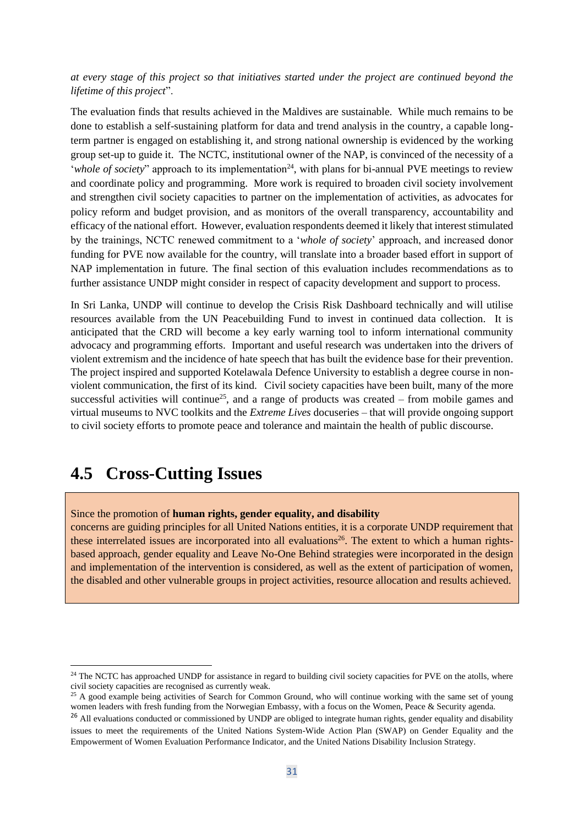*at every stage of this project so that initiatives started under the project are continued beyond the lifetime of this project*".

The evaluation finds that results achieved in the Maldives are sustainable. While much remains to be done to establish a self-sustaining platform for data and trend analysis in the country, a capable longterm partner is engaged on establishing it, and strong national ownership is evidenced by the working group set-up to guide it. The NCTC, institutional owner of the NAP, is convinced of the necessity of a '*whole of society*" approach to its implementation<sup>24</sup>, with plans for bi-annual PVE meetings to review and coordinate policy and programming. More work is required to broaden civil society involvement and strengthen civil society capacities to partner on the implementation of activities, as advocates for policy reform and budget provision, and as monitors of the overall transparency, accountability and efficacy of the national effort. However, evaluation respondents deemed it likely that interest stimulated by the trainings, NCTC renewed commitment to a '*whole of society*' approach, and increased donor funding for PVE now available for the country, will translate into a broader based effort in support of NAP implementation in future. The final section of this evaluation includes recommendations as to further assistance UNDP might consider in respect of capacity development and support to process.

In Sri Lanka, UNDP will continue to develop the Crisis Risk Dashboard technically and will utilise resources available from the UN Peacebuilding Fund to invest in continued data collection. It is anticipated that the CRD will become a key early warning tool to inform international community advocacy and programming efforts. Important and useful research was undertaken into the drivers of violent extremism and the incidence of hate speech that has built the evidence base for their prevention. The project inspired and supported Kotelawala Defence University to establish a degree course in nonviolent communication, the first of its kind. Civil society capacities have been built, many of the more successful activities will continue<sup>25</sup>, and a range of products was created – from mobile games and virtual museums to NVC toolkits and the *Extreme Lives* docuseries – that will provide ongoing support to civil society efforts to promote peace and tolerance and maintain the health of public discourse.

### **4.5 Cross-Cutting Issues**

Since the promotion of **human rights, gender equality, and disability**

concerns are guiding principles for all United Nations entities, it is a corporate UNDP requirement that these interrelated issues are incorporated into all evaluations<sup>26</sup>. The extent to which a human rightsbased approach, gender equality and Leave No-One Behind strategies were incorporated in the design and implementation of the intervention is considered, as well as the extent of participation of women, the disabled and other vulnerable groups in project activities, resource allocation and results achieved.

<sup>&</sup>lt;sup>24</sup> The NCTC has approached UNDP for assistance in regard to building civil society capacities for PVE on the atolls, where civil society capacities are recognised as currently weak.

 $25$  A good example being activities of Search for Common Ground, who will continue working with the same set of young women leaders with fresh funding from the Norwegian Embassy, with a focus on the Women, Peace & Security agenda.

<sup>&</sup>lt;sup>26</sup> All evaluations conducted or commissioned by UNDP are obliged to integrate human rights, gender equality and disability issues to meet the requirements of the United Nations System-Wide Action Plan (SWAP) on Gender Equality and the Empowerment of Women Evaluation Performance Indicator, and the United Nations Disability Inclusion Strategy.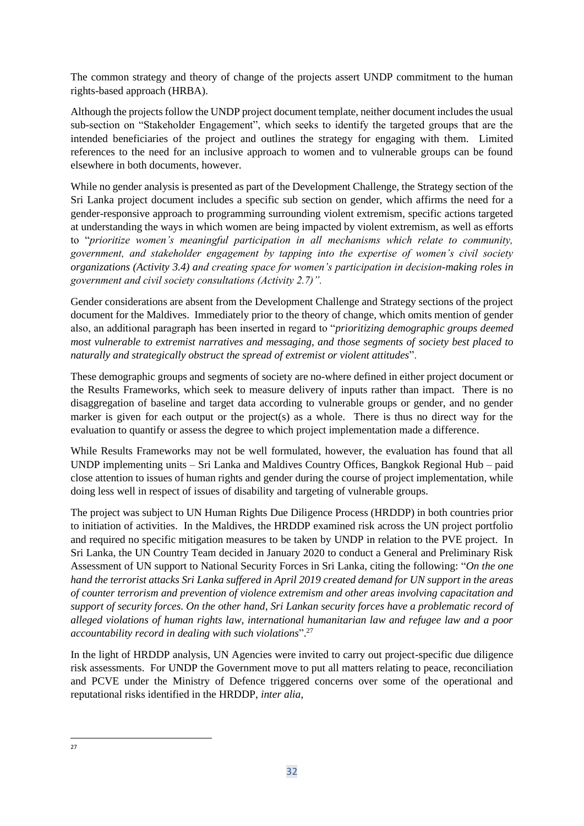The common strategy and theory of change of the projects assert UNDP commitment to the human rights-based approach (HRBA).

Although the projects follow the UNDP project document template, neither document includes the usual sub-section on "Stakeholder Engagement", which seeks to identify the targeted groups that are the intended beneficiaries of the project and outlines the strategy for engaging with them. Limited references to the need for an inclusive approach to women and to vulnerable groups can be found elsewhere in both documents, however.

While no gender analysis is presented as part of the Development Challenge, the Strategy section of the Sri Lanka project document includes a specific sub section on gender, which affirms the need for a gender-responsive approach to programming surrounding violent extremism, specific actions targeted at understanding the ways in which women are being impacted by violent extremism, as well as efforts to "*prioritize women's meaningful participation in all mechanisms which relate to community, government, and stakeholder engagement by tapping into the expertise of women's civil society organizations (Activity 3.4) and creating space for women's participation in decision-making roles in government and civil society consultations (Activity 2.7)".*

Gender considerations are absent from the Development Challenge and Strategy sections of the project document for the Maldives. Immediately prior to the theory of change, which omits mention of gender also, an additional paragraph has been inserted in regard to "*prioritizing demographic groups deemed most vulnerable to extremist narratives and messaging, and those segments of society best placed to naturally and strategically obstruct the spread of extremist or violent attitudes*".

These demographic groups and segments of society are no-where defined in either project document or the Results Frameworks, which seek to measure delivery of inputs rather than impact. There is no disaggregation of baseline and target data according to vulnerable groups or gender, and no gender marker is given for each output or the project(s) as a whole. There is thus no direct way for the evaluation to quantify or assess the degree to which project implementation made a difference.

While Results Frameworks may not be well formulated, however, the evaluation has found that all UNDP implementing units – Sri Lanka and Maldives Country Offices, Bangkok Regional Hub – paid close attention to issues of human rights and gender during the course of project implementation, while doing less well in respect of issues of disability and targeting of vulnerable groups.

The project was subject to UN Human Rights Due Diligence Process (HRDDP) in both countries prior to initiation of activities. In the Maldives, the HRDDP examined risk across the UN project portfolio and required no specific mitigation measures to be taken by UNDP in relation to the PVE project. In Sri Lanka, the UN Country Team decided in January 2020 to conduct a General and Preliminary Risk Assessment of UN support to National Security Forces in Sri Lanka, citing the following: "*On the one hand the terrorist attacks Sri Lanka suffered in April 2019 created demand for UN support in the areas of counter terrorism and prevention of violence extremism and other areas involving capacitation and support of security forces. On the other hand, Sri Lankan security forces have a problematic record of alleged violations of human rights law, international humanitarian law and refugee law and a poor accountability record in dealing with such violations*". 27

In the light of HRDDP analysis, UN Agencies were invited to carry out project-specific due diligence risk assessments. For UNDP the Government move to put all matters relating to peace, reconciliation and PCVE under the Ministry of Defence triggered concerns over some of the operational and reputational risks identified in the HRDDP, *inter alia*,

<sup>27</sup>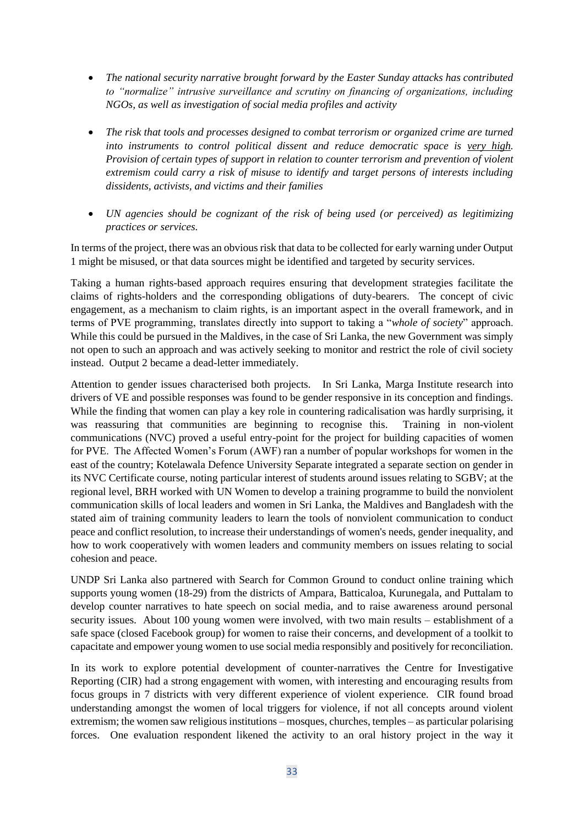- *The national security narrative brought forward by the Easter Sunday attacks has contributed to "normalize" intrusive surveillance and scrutiny on financing of organizations, including NGOs, as well as investigation of social media profiles and activity*
- *The risk that tools and processes designed to combat terrorism or organized crime are turned into instruments to control political dissent and reduce democratic space is very high. Provision of certain types of support in relation to counter terrorism and prevention of violent extremism could carry a risk of misuse to identify and target persons of interests including dissidents, activists, and victims and their families*
- *UN agencies should be cognizant of the risk of being used (or perceived) as legitimizing practices or services.*

In terms of the project, there was an obvious risk that data to be collected for early warning under Output 1 might be misused, or that data sources might be identified and targeted by security services.

Taking a human rights-based approach requires ensuring that development strategies facilitate the claims of rights-holders and the corresponding obligations of duty-bearers. The concept of civic engagement, as a mechanism to claim rights, is an important aspect in the overall framework, and in terms of PVE programming, translates directly into support to taking a "*whole of society*" approach. While this could be pursued in the Maldives, in the case of Sri Lanka, the new Government was simply not open to such an approach and was actively seeking to monitor and restrict the role of civil society instead. Output 2 became a dead-letter immediately.

Attention to gender issues characterised both projects. In Sri Lanka, Marga Institute research into drivers of VE and possible responses was found to be gender responsive in its conception and findings. While the finding that women can play a key role in countering radicalisation was hardly surprising, it was reassuring that communities are beginning to recognise this. Training in non-violent communications (NVC) proved a useful entry-point for the project for building capacities of women for PVE. The Affected Women's Forum (AWF) ran a number of popular workshops for women in the east of the country; Kotelawala Defence University Separate integrated a separate section on gender in its NVC Certificate course, noting particular interest of students around issues relating to SGBV; at the regional level, BRH worked with UN Women to develop a training programme to build the nonviolent communication skills of local leaders and women in Sri Lanka, the Maldives and Bangladesh with the stated aim of training community leaders to learn the tools of nonviolent communication to conduct peace and conflict resolution, to increase their understandings of women's needs, gender inequality, and how to work cooperatively with women leaders and community members on issues relating to social cohesion and peace.

UNDP Sri Lanka also partnered with Search for Common Ground to conduct online training which supports young women (18-29) from the districts of Ampara, Batticaloa, Kurunegala, and Puttalam to develop counter narratives to hate speech on social media, and to raise awareness around personal security issues. About 100 young women were involved, with two main results – establishment of a safe space (closed Facebook group) for women to raise their concerns, and development of a toolkit to capacitate and empower young women to use social media responsibly and positively for reconciliation.

In its work to explore potential development of counter-narratives the Centre for Investigative Reporting (CIR) had a strong engagement with women, with interesting and encouraging results from focus groups in 7 districts with very different experience of violent experience. CIR found broad understanding amongst the women of local triggers for violence, if not all concepts around violent extremism; the women saw religious institutions – mosques, churches, temples – as particular polarising forces. One evaluation respondent likened the activity to an oral history project in the way it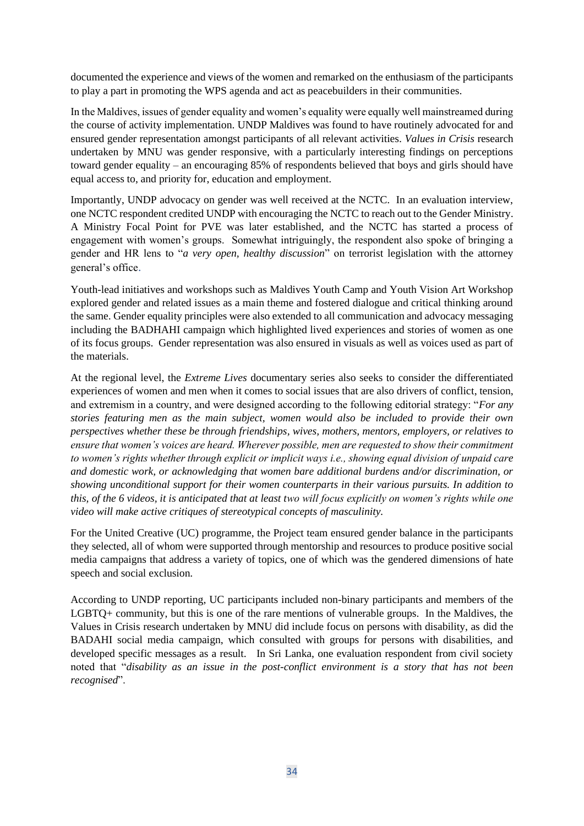documented the experience and views of the women and remarked on the enthusiasm of the participants to play a part in promoting the WPS agenda and act as peacebuilders in their communities.

In the Maldives, issues of gender equality and women's equality were equally well mainstreamed during the course of activity implementation. UNDP Maldives was found to have routinely advocated for and ensured gender representation amongst participants of all relevant activities. *Values in Crisis* research undertaken by MNU was gender responsive, with a particularly interesting findings on perceptions toward gender equality – an encouraging 85% of respondents believed that boys and girls should have equal access to, and priority for, education and employment.

Importantly, UNDP advocacy on gender was well received at the NCTC. In an evaluation interview, one NCTC respondent credited UNDP with encouraging the NCTC to reach out to the Gender Ministry. A Ministry Focal Point for PVE was later established, and the NCTC has started a process of engagement with women's groups. Somewhat intriguingly, the respondent also spoke of bringing a gender and HR lens to "*a very open, healthy discussion*" on terrorist legislation with the attorney general's office.

Youth-lead initiatives and workshops such as Maldives Youth Camp and Youth Vision Art Workshop explored gender and related issues as a main theme and fostered dialogue and critical thinking around the same. Gender equality principles were also extended to all communication and advocacy messaging including the BADHAHI campaign which highlighted lived experiences and stories of women as one of its focus groups. Gender representation was also ensured in visuals as well as voices used as part of the materials.

At the regional level, the *Extreme Lives* documentary series also seeks to consider the differentiated experiences of women and men when it comes to social issues that are also drivers of conflict, tension, and extremism in a country, and were designed according to the following editorial strategy: "*For any stories featuring men as the main subject, women would also be included to provide their own perspectives whether these be through friendships, wives, mothers, mentors, employers, or relatives to ensure that women's voices are heard. Wherever possible, men are requested to show their commitment to women's rights whether through explicit or implicit ways i.e., showing equal division of unpaid care and domestic work, or acknowledging that women bare additional burdens and/or discrimination, or showing unconditional support for their women counterparts in their various pursuits. In addition to this, of the 6 videos, it is anticipated that at least two will focus explicitly on women's rights while one video will make active critiques of stereotypical concepts of masculinity.*

For the United Creative (UC) programme, the Project team ensured gender balance in the participants they selected, all of whom were supported through mentorship and resources to produce positive social media campaigns that address a variety of topics, one of which was the gendered dimensions of hate speech and social exclusion.

According to UNDP reporting, UC participants included non-binary participants and members of the LGBTQ+ community, but this is one of the rare mentions of vulnerable groups. In the Maldives, the Values in Crisis research undertaken by MNU did include focus on persons with disability, as did the BADAHI social media campaign, which consulted with groups for persons with disabilities, and developed specific messages as a result. In Sri Lanka, one evaluation respondent from civil society noted that "*disability as an issue in the post-conflict environment is a story that has not been recognised*".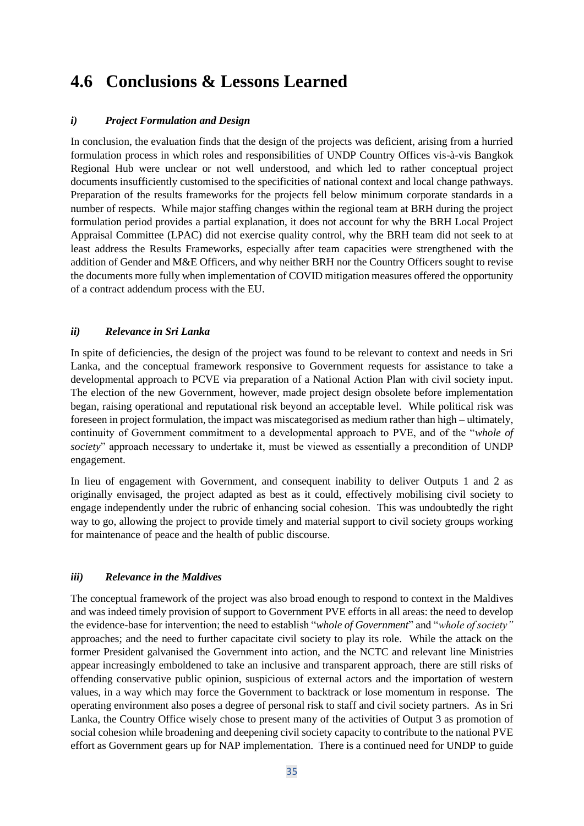## **4.6 Conclusions & Lessons Learned**

#### *i) Project Formulation and Design*

In conclusion, the evaluation finds that the design of the projects was deficient, arising from a hurried formulation process in which roles and responsibilities of UNDP Country Offices vis-à-vis Bangkok Regional Hub were unclear or not well understood, and which led to rather conceptual project documents insufficiently customised to the specificities of national context and local change pathways. Preparation of the results frameworks for the projects fell below minimum corporate standards in a number of respects. While major staffing changes within the regional team at BRH during the project formulation period provides a partial explanation, it does not account for why the BRH Local Project Appraisal Committee (LPAC) did not exercise quality control, why the BRH team did not seek to at least address the Results Frameworks, especially after team capacities were strengthened with the addition of Gender and M&E Officers, and why neither BRH nor the Country Officers sought to revise the documents more fully when implementation of COVID mitigation measures offered the opportunity of a contract addendum process with the EU.

#### *ii) Relevance in Sri Lanka*

In spite of deficiencies, the design of the project was found to be relevant to context and needs in Sri Lanka, and the conceptual framework responsive to Government requests for assistance to take a developmental approach to PCVE via preparation of a National Action Plan with civil society input. The election of the new Government, however, made project design obsolete before implementation began, raising operational and reputational risk beyond an acceptable level. While political risk was foreseen in project formulation, the impact was miscategorised as medium rather than high – ultimately, continuity of Government commitment to a developmental approach to PVE, and of the "*whole of society*" approach necessary to undertake it, must be viewed as essentially a precondition of UNDP engagement.

In lieu of engagement with Government, and consequent inability to deliver Outputs 1 and 2 as originally envisaged, the project adapted as best as it could, effectively mobilising civil society to engage independently under the rubric of enhancing social cohesion. This was undoubtedly the right way to go, allowing the project to provide timely and material support to civil society groups working for maintenance of peace and the health of public discourse.

#### *iii) Relevance in the Maldives*

The conceptual framework of the project was also broad enough to respond to context in the Maldives and was indeed timely provision of support to Government PVE efforts in all areas: the need to develop the evidence-base for intervention; the need to establish "*whole of Government*" and "*whole of society"*  approaches; and the need to further capacitate civil society to play its role. While the attack on the former President galvanised the Government into action, and the NCTC and relevant line Ministries appear increasingly emboldened to take an inclusive and transparent approach, there are still risks of offending conservative public opinion, suspicious of external actors and the importation of western values, in a way which may force the Government to backtrack or lose momentum in response. The operating environment also poses a degree of personal risk to staff and civil society partners. As in Sri Lanka, the Country Office wisely chose to present many of the activities of Output 3 as promotion of social cohesion while broadening and deepening civil society capacity to contribute to the national PVE effort as Government gears up for NAP implementation. There is a continued need for UNDP to guide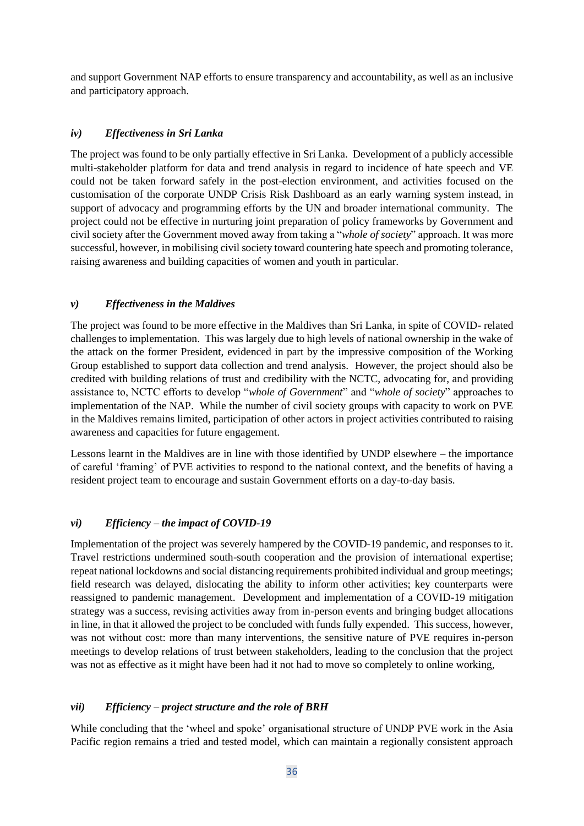and support Government NAP efforts to ensure transparency and accountability, as well as an inclusive and participatory approach.

#### *iv) Effectiveness in Sri Lanka*

The project was found to be only partially effective in Sri Lanka. Development of a publicly accessible multi-stakeholder platform for data and trend analysis in regard to incidence of hate speech and VE could not be taken forward safely in the post-election environment, and activities focused on the customisation of the corporate UNDP Crisis Risk Dashboard as an early warning system instead, in support of advocacy and programming efforts by the UN and broader international community. The project could not be effective in nurturing joint preparation of policy frameworks by Government and civil society after the Government moved away from taking a "*whole of society*" approach. It was more successful, however, in mobilising civil society toward countering hate speech and promoting tolerance, raising awareness and building capacities of women and youth in particular.

#### *v) Effectiveness in the Maldives*

The project was found to be more effective in the Maldives than Sri Lanka, in spite of COVID- related challenges to implementation. This was largely due to high levels of national ownership in the wake of the attack on the former President, evidenced in part by the impressive composition of the Working Group established to support data collection and trend analysis. However, the project should also be credited with building relations of trust and credibility with the NCTC, advocating for, and providing assistance to, NCTC efforts to develop "*whole of Government*" and "*whole of society*" approaches to implementation of the NAP. While the number of civil society groups with capacity to work on PVE in the Maldives remains limited, participation of other actors in project activities contributed to raising awareness and capacities for future engagement.

Lessons learnt in the Maldives are in line with those identified by UNDP elsewhere – the importance of careful 'framing' of PVE activities to respond to the national context, and the benefits of having a resident project team to encourage and sustain Government efforts on a day-to-day basis.

#### *vi) Efficiency – the impact of COVID-19*

Implementation of the project was severely hampered by the COVID-19 pandemic, and responses to it. Travel restrictions undermined south-south cooperation and the provision of international expertise; repeat national lockdowns and social distancing requirements prohibited individual and group meetings; field research was delayed, dislocating the ability to inform other activities; key counterparts were reassigned to pandemic management. Development and implementation of a COVID-19 mitigation strategy was a success, revising activities away from in-person events and bringing budget allocations in line, in that it allowed the project to be concluded with funds fully expended. This success, however, was not without cost: more than many interventions, the sensitive nature of PVE requires in-person meetings to develop relations of trust between stakeholders, leading to the conclusion that the project was not as effective as it might have been had it not had to move so completely to online working,

#### *vii) Efficiency – project structure and the role of BRH*

While concluding that the 'wheel and spoke' organisational structure of UNDP PVE work in the Asia Pacific region remains a tried and tested model, which can maintain a regionally consistent approach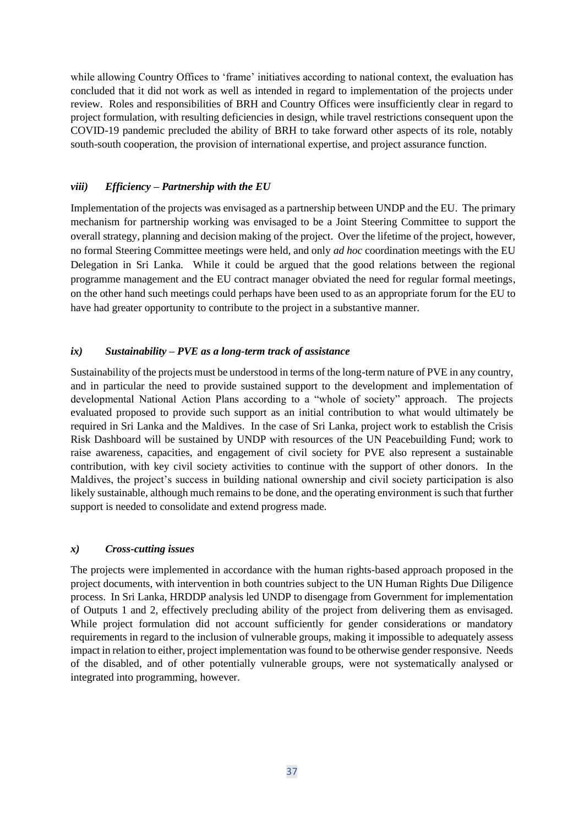while allowing Country Offices to 'frame' initiatives according to national context, the evaluation has concluded that it did not work as well as intended in regard to implementation of the projects under review. Roles and responsibilities of BRH and Country Offices were insufficiently clear in regard to project formulation, with resulting deficiencies in design, while travel restrictions consequent upon the COVID-19 pandemic precluded the ability of BRH to take forward other aspects of its role, notably south-south cooperation, the provision of international expertise, and project assurance function.

#### *viii) Efficiency – Partnership with the EU*

Implementation of the projects was envisaged as a partnership between UNDP and the EU. The primary mechanism for partnership working was envisaged to be a Joint Steering Committee to support the overall strategy, planning and decision making of the project. Over the lifetime of the project, however, no formal Steering Committee meetings were held, and only *ad hoc* coordination meetings with the EU Delegation in Sri Lanka. While it could be argued that the good relations between the regional programme management and the EU contract manager obviated the need for regular formal meetings, on the other hand such meetings could perhaps have been used to as an appropriate forum for the EU to have had greater opportunity to contribute to the project in a substantive manner.

#### *ix) Sustainability – PVE as a long-term track of assistance*

Sustainability of the projects must be understood in terms of the long-term nature of PVE in any country, and in particular the need to provide sustained support to the development and implementation of developmental National Action Plans according to a "whole of society" approach. The projects evaluated proposed to provide such support as an initial contribution to what would ultimately be required in Sri Lanka and the Maldives. In the case of Sri Lanka, project work to establish the Crisis Risk Dashboard will be sustained by UNDP with resources of the UN Peacebuilding Fund; work to raise awareness, capacities, and engagement of civil society for PVE also represent a sustainable contribution, with key civil society activities to continue with the support of other donors. In the Maldives, the project's success in building national ownership and civil society participation is also likely sustainable, although much remains to be done, and the operating environment is such that further support is needed to consolidate and extend progress made.

#### *x) Cross-cutting issues*

The projects were implemented in accordance with the human rights-based approach proposed in the project documents, with intervention in both countries subject to the UN Human Rights Due Diligence process. In Sri Lanka, HRDDP analysis led UNDP to disengage from Government for implementation of Outputs 1 and 2, effectively precluding ability of the project from delivering them as envisaged. While project formulation did not account sufficiently for gender considerations or mandatory requirements in regard to the inclusion of vulnerable groups, making it impossible to adequately assess impact in relation to either, project implementation was found to be otherwise gender responsive. Needs of the disabled, and of other potentially vulnerable groups, were not systematically analysed or integrated into programming, however.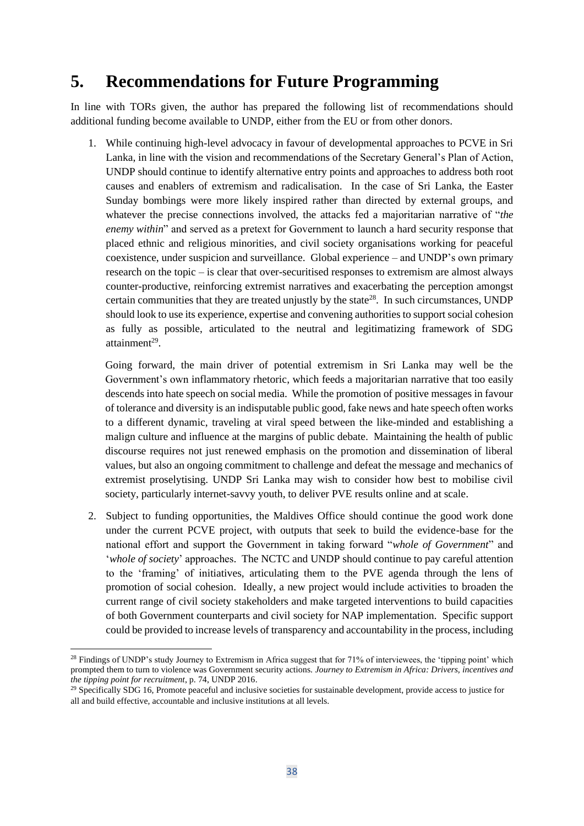### **5. Recommendations for Future Programming**

In line with TORs given, the author has prepared the following list of recommendations should additional funding become available to UNDP, either from the EU or from other donors.

1. While continuing high-level advocacy in favour of developmental approaches to PCVE in Sri Lanka, in line with the vision and recommendations of the Secretary General's Plan of Action, UNDP should continue to identify alternative entry points and approaches to address both root causes and enablers of extremism and radicalisation. In the case of Sri Lanka, the Easter Sunday bombings were more likely inspired rather than directed by external groups, and whatever the precise connections involved, the attacks fed a majoritarian narrative of "*the enemy within*" and served as a pretext for Government to launch a hard security response that placed ethnic and religious minorities, and civil society organisations working for peaceful coexistence, under suspicion and surveillance. Global experience – and UNDP's own primary research on the topic – is clear that over-securitised responses to extremism are almost always counter-productive, reinforcing extremist narratives and exacerbating the perception amongst certain communities that they are treated unjustly by the state<sup>28</sup>. In such circumstances, UNDP should look to use its experience, expertise and convening authorities to support social cohesion as fully as possible, articulated to the neutral and legitimatizing framework of SDG attainment<sup>29</sup>.

Going forward, the main driver of potential extremism in Sri Lanka may well be the Government's own inflammatory rhetoric, which feeds a majoritarian narrative that too easily descends into hate speech on social media. While the promotion of positive messages in favour of tolerance and diversity is an indisputable public good, fake news and hate speech often works to a different dynamic, traveling at viral speed between the like-minded and establishing a malign culture and influence at the margins of public debate. Maintaining the health of public discourse requires not just renewed emphasis on the promotion and dissemination of liberal values, but also an ongoing commitment to challenge and defeat the message and mechanics of extremist proselytising. UNDP Sri Lanka may wish to consider how best to mobilise civil society, particularly internet-savvy youth, to deliver PVE results online and at scale.

2. Subject to funding opportunities, the Maldives Office should continue the good work done under the current PCVE project, with outputs that seek to build the evidence-base for the national effort and support the Government in taking forward "*whole of Government*" and '*whole of society*' approaches. The NCTC and UNDP should continue to pay careful attention to the 'framing' of initiatives, articulating them to the PVE agenda through the lens of promotion of social cohesion. Ideally, a new project would include activities to broaden the current range of civil society stakeholders and make targeted interventions to build capacities of both Government counterparts and civil society for NAP implementation. Specific support could be provided to increase levels of transparency and accountability in the process, including

<sup>&</sup>lt;sup>28</sup> Findings of UNDP's study Journey to Extremism in Africa suggest that for 71% of interviewees, the 'tipping point' which prompted them to turn to violence was Government security actions. *[Journey to Extremism in Africa: Drivers, incentives and](http://journey-to-extremism.undp.org/)  [the tipping point for recruitment](http://journey-to-extremism.undp.org/)*, p. 74, UNDP 2016.

<sup>&</sup>lt;sup>29</sup> Specifically SDG 16, Promote peaceful and inclusive societies for sustainable development, provide access to justice for all and build effective, accountable and inclusive institutions at all levels.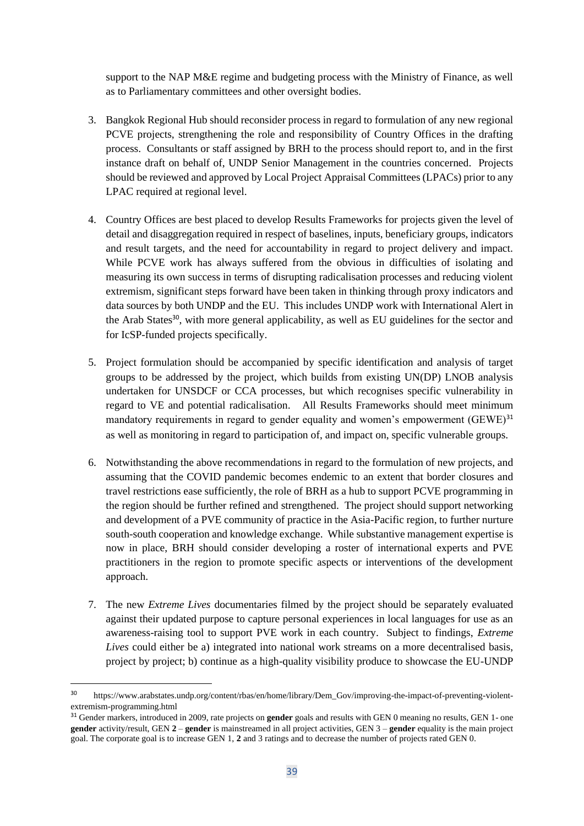support to the NAP M&E regime and budgeting process with the Ministry of Finance, as well as to Parliamentary committees and other oversight bodies.

- 3. Bangkok Regional Hub should reconsider process in regard to formulation of any new regional PCVE projects, strengthening the role and responsibility of Country Offices in the drafting process. Consultants or staff assigned by BRH to the process should report to, and in the first instance draft on behalf of, UNDP Senior Management in the countries concerned. Projects should be reviewed and approved by Local Project Appraisal Committees (LPACs) prior to any LPAC required at regional level.
- 4. Country Offices are best placed to develop Results Frameworks for projects given the level of detail and disaggregation required in respect of baselines, inputs, beneficiary groups, indicators and result targets, and the need for accountability in regard to project delivery and impact. While PCVE work has always suffered from the obvious in difficulties of isolating and measuring its own success in terms of disrupting radicalisation processes and reducing violent extremism, significant steps forward have been taken in thinking through proxy indicators and data sources by both UNDP and the EU. This includes UNDP work with International Alert in the Arab States<sup>30</sup>, with more general applicability, as well as EU guidelines for the sector and for IcSP-funded projects specifically.
- 5. Project formulation should be accompanied by specific identification and analysis of target groups to be addressed by the project, which builds from existing UN(DP) LNOB analysis undertaken for UNSDCF or CCA processes, but which recognises specific vulnerability in regard to VE and potential radicalisation. All Results Frameworks should meet minimum mandatory requirements in regard to gender equality and women's empowerment (GEWE)<sup>31</sup> as well as monitoring in regard to participation of, and impact on, specific vulnerable groups.
- 6. Notwithstanding the above recommendations in regard to the formulation of new projects, and assuming that the COVID pandemic becomes endemic to an extent that border closures and travel restrictions ease sufficiently, the role of BRH as a hub to support PCVE programming in the region should be further refined and strengthened. The project should support networking and development of a PVE community of practice in the Asia-Pacific region, to further nurture south-south cooperation and knowledge exchange. While substantive management expertise is now in place, BRH should consider developing a roster of international experts and PVE practitioners in the region to promote specific aspects or interventions of the development approach.
- 7. The new *Extreme Lives* documentaries filmed by the project should be separately evaluated against their updated purpose to capture personal experiences in local languages for use as an awareness-raising tool to support PVE work in each country. Subject to findings, *Extreme Lives* could either be a) integrated into national work streams on a more decentralised basis, project by project; b) continue as a high-quality visibility produce to showcase the EU-UNDP

<sup>30</sup> https://www.arabstates.undp.org/content/rbas/en/home/library/Dem\_Gov/improving-the-impact-of-preventing-violentextremism-programming.html

<sup>31</sup> Gender markers, introduced in 2009, rate projects on **gender** goals and results with GEN 0 meaning no results, GEN 1- one **gender** activity/result, GEN **2** – **gender** is mainstreamed in all project activities, GEN 3 – **gender** equality is the main project goal. The corporate goal is to increase GEN 1, **2** and 3 ratings and to decrease the number of projects rated GEN 0.